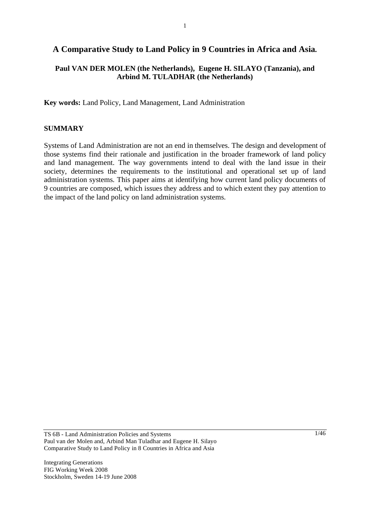# **A Comparative Study to Land Policy in 9 Countries in Africa and Asia.**

## **Paul VAN DER MOLEN (the Netherlands), Eugene H. SILAYO (Tanzania), and Arbind M. TULADHAR (the Netherlands)**

**Key words:** Land Policy, Land Management, Land Administration

#### **SUMMARY**

Systems of Land Administration are not an end in themselves. The design and development of those systems find their rationale and justification in the broader framework of land policy and land management. The way governments intend to deal with the land issue in their society, determines the requirements to the institutional and operational set up of land administration systems. This paper aims at identifying how current land policy documents of 9 countries are composed, which issues they address and to which extent they pay attention to the impact of the land policy on land administration systems.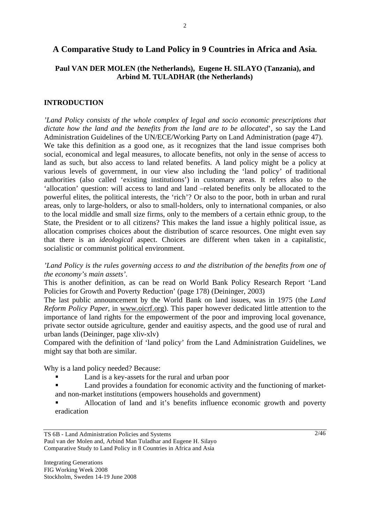### **A Comparative Study to Land Policy in 9 Countries in Africa and Asia.**

#### **Paul VAN DER MOLEN (the Netherlands), Eugene H. SILAYO (Tanzania), and Arbind M. TULADHAR (the Netherlands)**

#### **INTRODUCTION**

*'Land Policy consists of the whole complex of legal and socio economic prescriptions that dictate how the land and the benefits from the land are to be allocated*', so say the Land Administration Guidelines of the UN/ECE/Working Party on Land Administration (page 47).

We take this definition as a good one, as it recognizes that the land issue comprises both social, economical and legal measures, to allocate benefits, not only in the sense of access to land as such, but also access to land related benefits. A land policy might be a policy at various levels of government, in our view also including the 'land policy' of traditional authorities (also called 'existing institutions') in customary areas. It refers also to the 'allocation' question: will access to land and land –related benefits only be allocated to the powerful elites, the political interests, the 'rich'? Or also to the poor, both in urban and rural areas, only to large-holders, or also to small-holders, only to international companies, or also to the local middle and small size firms, only to the members of a certain ethnic group, to the State, the President or to all citizens? This makes the land issue a highly political issue, as allocation comprises choices about the distribution of scarce resources. One might even say that there is an *ideological* aspect. Choices are different when taken in a capitalistic, socialistic or communist political environment.

*'Land Policy is the rules governing access to and the distribution of the benefits from one of the economy's main assets'.* 

This is another definition, as can be read on World Bank Policy Research Report 'Land Policies for Growth and Poverty Reduction' (page 178) (Deininger, 2003)

The last public announcement by the World Bank on land issues, was in 1975 (the *Land Reform Policy Paper,* in www.oicrf.org). This paper however dedicated little attention to the importance of land rights for the empowerment of the poor and improving local govenance, private sector outside agriculture, gender and eauitisy aspects, and the good use of rural and urban lands (Deininger, page xliv-xlv)

Compared with the definition of 'land policy' from the Land Administration Guidelines, we might say that both are similar.

Why is a land policy needed? Because:

- Land is a key-assets for the rural and urban poor
- Land provides a foundation for economic activity and the functioning of marketand non-market institutions (empowers households and government)
- Allocation of land and it's benefits influence economic growth and poverty eradication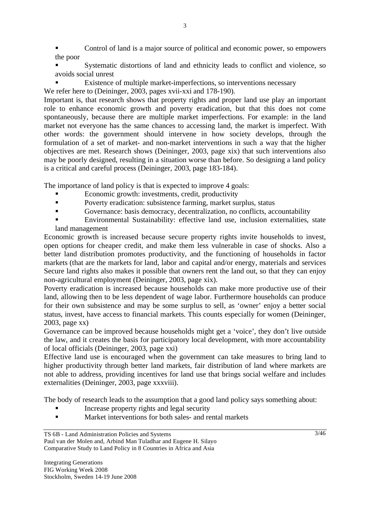- Control of land is a major source of political and economic power, so empowers the poor
- Systematic distortions of land and ethnicity leads to conflict and violence, so avoids social unrest
- Existence of multiple market-imperfections, so interventions necessary
- We refer here to (Deininger, 2003, pages xvii-xxi and 178-190).

Important is, that research shows that property rights and proper land use play an important role to enhance economic growth and poverty eradication, but that this does not come spontaneously, because there are multiple market imperfections. For example: in the land market not everyone has the same chances to accessing land, the market is imperfect. With other words: the government should intervene in how society develops, through the formulation of a set of market- and non-market interventions in such a way that the higher objectives are met. Research shows (Deininger, 2003, page xix) that such interventions also may be poorly designed, resulting in a situation worse than before. So designing a land policy is a critical and careful process (Deininger, 2003, page 183-184).

The importance of land policy is that is expected to improve 4 goals:

- Economic growth: investments, credit, productivity
- **Poverty eradication: subsistence farming, market surplus, status**
- Governance: basis democracy, decentralization, no conflicts, accountability
- Environmental Sustainability: effective land use, inclusion externalities, state land management

Economic growth is increased because secure property rights invite households to invest, open options for cheaper credit, and make them less vulnerable in case of shocks. Also a better land distribution promotes productivity, and the functioning of households in factor markets (that are the markets for land, labor and capital and/or energy, materials and services Secure land rights also makes it possible that owners rent the land out, so that they can enjoy non-agricultural employment (Deininger, 2003, page xix).

Poverty eradication is increased because households can make more productive use of their land, allowing then to be less dependent of wage labor. Furthermore households can produce for their own subsistence and may be some surplus to sell, as 'owner' enjoy a better social status, invest, have access to financial markets. This counts especially for women (Deininger, 2003, page xx)

Governance can be improved because households might get a 'voice', they don't live outside the law, and it creates the basis for participatory local development, with more accountability of local officials (Deininger, 2003, page xxi)

Effective land use is encouraged when the government can take measures to bring land to higher productivity through better land markets, fair distribution of land where markets are not able to address, providing incentives for land use that brings social welfare and includes externalities (Deininger, 2003, page xxxviii).

The body of research leads to the assumption that a good land policy says something about:

- Increase property rights and legal security
- Market interventions for both sales- and rental markets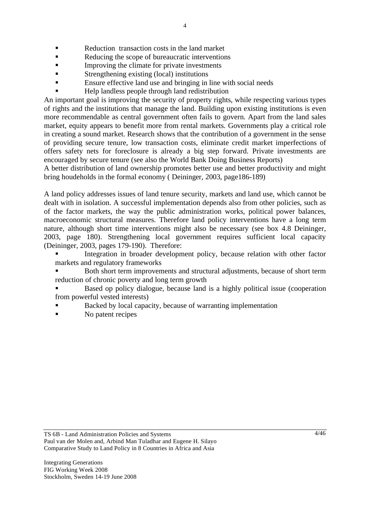- Reduction transaction costs in the land market
- Reducing the scope of bureaucratic interventions
- Improving the climate for private investments
- **Strengthening existing (local) institutions**
- Ensure effective land use and bringing in line with social needs
- Help landless people through land redistribution

An important goal is improving the security of property rights, while respecting various types of rights and the institutions that manage the land. Building upon existing institutions is even more recommendable as central government often fails to govern. Apart from the land sales market, equity appears to benefit more from rental markets. Governments play a critical role in creating a sound market. Research shows that the contribution of a government in the sense of providing secure tenure, low transaction costs, eliminate credit market imperfections of offers safety nets for foreclosure is already a big step forward. Private investments are encouraged by secure tenure (see also the World Bank Doing Business Reports)

A better distribution of land ownership promotes better use and better productivity and might bring houdeholds in the formal economy ( Deininger, 2003, page186-189)

A land policy addresses issues of land tenure security, markets and land use, which cannot be dealt with in isolation. A successful implementation depends also from other policies, such as of the factor markets, the way the public administration works, political power balances, macroeconomic structural measures. Therefore land policy interventions have a long term nature, although short time interventions might also be necessary (see box 4.8 Deininger, 2003, page 180). Strengthening local government requires sufficient local capacity (Deininger, 2003, pages 179-190). Therefore:

 Integration in broader development policy, because relation with other factor markets and regulatory frameworks

 Both short term improvements and structural adjustments, because of short term reduction of chronic poverty and long term growth

 Based op policy dialogue, because land is a highly political issue (cooperation from powerful vested interests)

- Backed by local capacity, because of warranting implementation
- No patent recipes

TS 6B - Land Administration Policies and Systems Paul van der Molen and, Arbind Man Tuladhar and Eugene H. Silayo Comparative Study to Land Policy in 8 Countries in Africa and Asia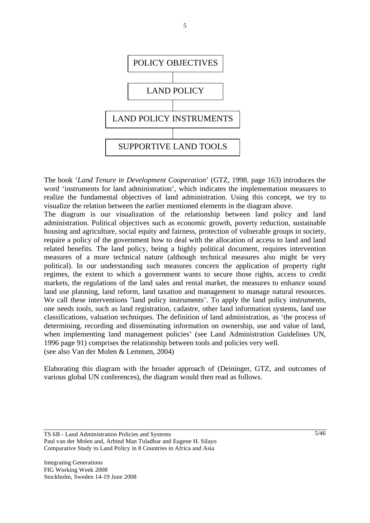

The book '*Land Tenure in Development Cooperation*' (GTZ, 1998, page 163) introduces the word 'instruments for land administration', which indicates the implementation measures to realize the fundamental objectives of land administration. Using this concept, we try to visualize the relation between the earlier mentioned elements in the diagram above.

The diagram is our visualization of the relationship between land policy and land administration. Political objectives such as economic growth, poverty reduction, sustainable housing and agriculture, social equity and fairness, protection of vulnerable groups in society, require a policy of the government how to deal with the allocation of access to land and land related benefits. The land policy, being a highly political document, requires intervention measures of a more technical nature (although technical measures also might be very political). In our understanding such measures concern the application of property right regimes, the extent to which a government wants to secure those rights, access to credit markets, the regulations of the land sales and rental market, the measures to enhance sound land use planning, land reform, land taxation and management to manage natural resources. We call these interventions 'land policy instruments'. To apply the land policy instruments, one needs tools, such as land registration, cadastre, other land information systems, land use classifications, valuation techniques. The definition of land administration, as 'the process of determining, recording and disseminating information on ownership, use and value of land, when implementing land management policies' (see Land Administration Guidelines UN, 1996 page 91) comprises the relationship between tools and policies very well. (see also Van der Molen & Lemmen, 2004)

Elaborating this diagram with the broader approach of (Deininger, GTZ, and outcomes of various global UN conferences), the diagram would then read as follows.

TS 6B - Land Administration Policies and Systems Paul van der Molen and, Arbind Man Tuladhar and Eugene H. Silayo Comparative Study to Land Policy in 8 Countries in Africa and Asia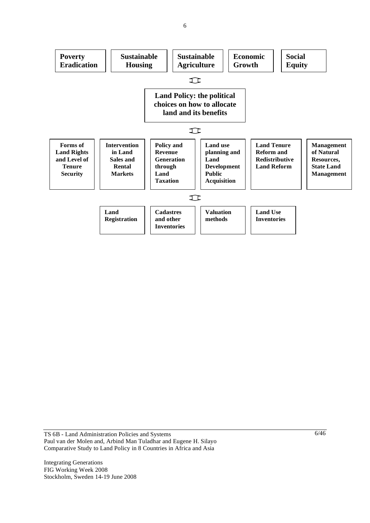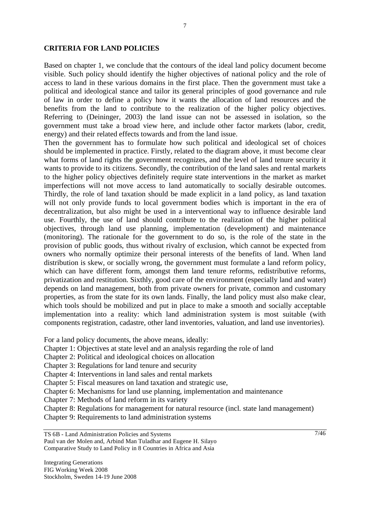#### **CRITERIA FOR LAND POLICIES**

Based on chapter 1, we conclude that the contours of the ideal land policy document become visible. Such policy should identify the higher objectives of national policy and the role of access to land in these various domains in the first place. Then the government must take a political and ideological stance and tailor its general principles of good governance and rule of law in order to define a policy how it wants the allocation of land resources and the benefits from the land to contribute to the realization of the higher policy objectives. Referring to (Deininger, 2003) the land issue can not be assessed in isolation, so the government must take a broad view here, and include other factor markets (labor, credit, energy) and their related effects towards and from the land issue.

Then the government has to formulate how such political and ideological set of choices should be implemented in practice. Firstly, related to the diagram above, it must become clear what forms of land rights the government recognizes, and the level of land tenure security it wants to provide to its citizens. Secondly, the contribution of the land sales and rental markets to the higher policy objectives definitely require state interventions in the market as market imperfections will not move access to land automatically to socially desirable outcomes. Thirdly, the role of land taxation should be made explicit in a land policy, as land taxation will not only provide funds to local government bodies which is important in the era of decentralization, but also might be used in a interventional way to influence desirable land use. Fourthly, the use of land should contribute to the realization of the higher political objectives, through land use planning, implementation (development) and maintenance (monitoring). The rationale for the government to do so, is the role of the state in the provision of public goods, thus without rivalry of exclusion, which cannot be expected from owners who normally optimize their personal interests of the benefits of land. When land distribution is skew, or socially wrong, the government must formulate a land reform policy, which can have different form, amongst them land tenure reforms, redistributive reforms, privatization and restitution. Sixthly, good care of the environment (especially land and water) depends on land management, both from private owners for private, common and customary properties, as from the state for its own lands. Finally, the land policy must also make clear, which tools should be mobilized and put in place to make a smooth and socially acceptable implementation into a reality: which land administration system is most suitable (with components registration, cadastre, other land inventories, valuation, and land use inventories).

For a land policy documents, the above means, ideally:

Chapter 1: Objectives at state level and an analysis regarding the role of land

Chapter 2: Political and ideological choices on allocation

Chapter 3: Regulations for land tenure and security

Chapter 4: Interventions in land sales and rental markets

Chapter 5: Fiscal measures on land taxation and strategic use,

Chapter 6: Mechanisms for land use planning, implementation and maintenance

Chapter 7: Methods of land reform in its variety

Chapter 8: Regulations for management for natural resource (incl. state land management)

Chapter 9: Requirements to land administration systems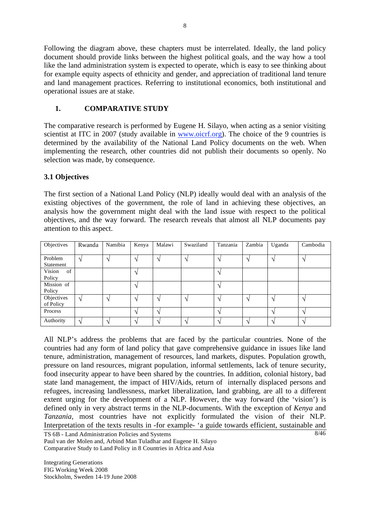Following the diagram above, these chapters must be interrelated. Ideally, the land policy document should provide links between the highest political goals, and the way how a tool like the land administration system is expected to operate, which is easy to see thinking about for example equity aspects of ethnicity and gender, and appreciation of traditional land tenure and land management practices. Referring to institutional economics, both institutional and operational issues are at stake.

# **1. COMPARATIVE STUDY**

The comparative research is performed by Eugene H. Silayo, when acting as a senior visiting scientist at ITC in 2007 (study available in www.oicrf.org). The choice of the 9 countries is determined by the availability of the National Land Policy documents on the web. When implementing the research, other countries did not publish their documents so openly. No selection was made, by consequence.

## **3.1 Objectives**

The first section of a National Land Policy (NLP) ideally would deal with an analysis of the existing objectives of the government, the role of land in achieving these objectives, an analysis how the government might deal with the land issue with respect to the political objectives, and the way forward. The research reveals that almost all NLP documents pay attention to this aspect.

| Objectives   | Rwanda | Namibia | Kenya                    | Malawi | Swaziland | Tanzania          | Zambia          | Uganda            | Cambodia                 |
|--------------|--------|---------|--------------------------|--------|-----------|-------------------|-----------------|-------------------|--------------------------|
|              |        |         |                          |        |           |                   |                 |                   |                          |
| Problem      |        |         | $\mathbf \Lambda$        |        |           | $\mathcal{L}$     | $\Delta$        | $\Delta$          | $\Delta$                 |
| Statement    |        |         |                          |        |           |                   |                 |                   |                          |
| Vision<br>of |        |         | $\mathbf \Lambda$        |        |           | $\Delta$          |                 |                   |                          |
| Policy       |        |         |                          |        |           |                   |                 |                   |                          |
| Mission of   |        |         | ٦                        |        |           |                   |                 |                   |                          |
| Policy       |        |         |                          |        |           |                   |                 |                   |                          |
| Objectives   |        |         |                          |        |           |                   | $\triangleleft$ | $\gamma$          |                          |
| of Policy    |        |         |                          |        |           |                   |                 |                   |                          |
| Process      |        |         | $\overline{\phantom{a}}$ |        |           | $\mathbf{\hat{}}$ |                 | $\mathbf{\hat{}}$ | $\overline{\phantom{a}}$ |
| Authority    |        |         |                          |        |           |                   |                 | $\Delta$          | $\overline{\phantom{a}}$ |

8/46 All NLP's address the problems that are faced by the particular countries. None of the countries had any form of land policy that gave comprehensive guidance in issues like land tenure, administration, management of resources, land markets, disputes. Population growth, pressure on land resources, migrant population, informal settlements, lack of tenure security, food insecurity appear to have been shared by the countries. In addition, colonial history, bad state land management, the impact of HIV/Aids, return of internally displaced persons and refugees, increasing landlessness, market liberalization, land grabbing, are all to a different extent urging for the development of a NLP. However, the way forward (the 'vision') is defined only in very abstract terms in the NLP-documents. With the exception of *Kenya* and *Tanzania,* most countries have not explicitly formulated the vision of their NLP. Interpretation of the texts results in -for example- 'a guide towards efficient, sustainable and

TS 6B - Land Administration Policies and Systems Paul van der Molen and, Arbind Man Tuladhar and Eugene H. Silayo Comparative Study to Land Policy in 8 Countries in Africa and Asia

Integrating Generations FIG Working Week 2008 Stockholm, Sweden 14-19 June 2008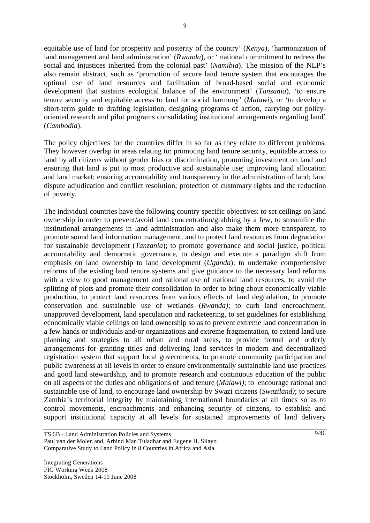equitable use of land for prosperity and posterity of the country' (*Kenya*), 'harmonization of land management and land administration' (*Rwanda*), or ' national commitment to redress the social and injustices inherited from the colonial past' (*Namibia*). The mission of the NLP's also remain abstract, such as 'promotion of secure land tenure system that encourages the optimal use of land resources and facilitation of broad-based social and economic development that sustains ecological balance of the environment' (*Tanzania*), 'to ensure tenure security and equitable access to land for social harmony' (*Malawi*), or 'to develop a short-term guide to drafting legislation, designing programs of action, carrying out policyoriented research and pilot programs consolidating institutional arrangements regarding land' (*Cambodia*).

The policy objectives for the countries differ in so far as they relate to different problems. They however overlap in areas relating to: promoting land tenure security, equitable access to land by all citizens without gender bias or discrimination, promoting investment on land and ensuring that land is put to most productive and sustainable use; improving land allocation and land market; ensuring accountability and transparency in the administration of land; land dispute adjudication and conflict resolution; protection of customary rights and the reduction of poverty.

The individual countries have the following country specific objectives: to set ceilings on land ownership in order to prevent/avoid land concentration/grabbing by a few, to streamline the institutional arrangements in land administration and also make them more transparent, to promote sound land information management, and to protect land resources from degradation for sustainable development (*Tanzania*); to promote governance and social justice, political accountability and democratic governance, to design and execute a paradigm shift from emphasis on land ownership to land development (*Uganda*); to undertake comprehensive reforms of the existing land tenure systems and give guidance to the necessary land reforms with a view to good management and rational use of national land resources, to avoid the splitting of plots and promote their consolidation in order to bring about economically viable production, to protect land resources from various effects of land degradation, to promote conservation and sustainable use of wetlands (*Rwanda)*; to curb land encroachment, unapproved development, land speculation and racketeering, to set guidelines for establishing economically viable ceilings on land ownership so as to prevent extreme land concentration in a few hands or individuals and/or organizations and extreme fragmentation, to extend land use planning and strategies to all urban and rural areas, to provide formal and orderly arrangements for granting titles and delivering land services in modern and decentralized registration system that support local governments, to promote community participation and public awareness at all levels in order to ensure environmentally sustainable land use practices and good land stewardship, and to promote research and continuous education of the public on all aspects of the duties and obligations of land tenure (*Malawi)*; to encourage rational and sustainable use of land, to encourage land ownership by Swazi citizens (*Swaziland)*; to secure Zambia's territorial integrity by maintaining international boundaries at all times so as to control movements, encroachments and enhancing security of citizens, to establish and support institutional capacity at all levels for sustained improvements of land delivery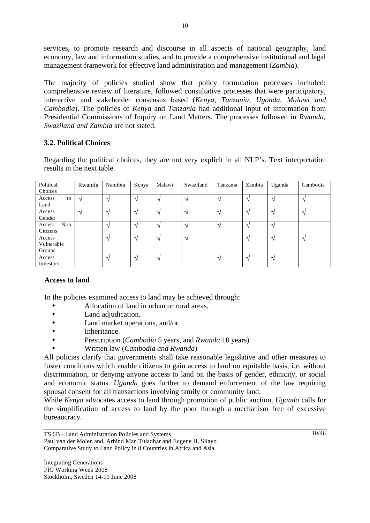services, to promote research and discourse in all aspects of national geography, land economy, law and information studies, and to provide a comprehensive institutional and legal management framework for effective land administration and management (*Zambia*).

The majority of policies studied show that policy formulation processes included: comprehensive review of literature, followed consultative processes that were participatory, interactive and stakeholder consensus based (*Kenya, Tanzania, Uganda, Malawi and Cambodia*). The policies of *Kenya* and *Tanzania* had additional input of information from Presidential Commissions of Inquiry on Land Matters. The processes followed in *Rwanda, Swaziland and Zambia* are not stated.

## **3.2. Political Choices**

Regarding the political choices, they are not very explicit in all NLP's. Text interpretation results in the next table.

| Political<br>Choices           | Rwanda        | Namibia                | Kenya             | Malawi        | Swaziland     | Tanzania          | Zambia                     | Uganda        | Cambodia                   |
|--------------------------------|---------------|------------------------|-------------------|---------------|---------------|-------------------|----------------------------|---------------|----------------------------|
| Access<br>to<br>Land           | $\mathcal{L}$ | $\Delta$               | $\Delta$          | $\mathcal{L}$ | $\mathcal{N}$ | $\mathbf{\hat{}}$ | $\lambda$                  | $\mathcal{N}$ | $\Delta$                   |
| Access<br>Gender               | $\mathcal{L}$ | $\gamma$               | $\mathcal{L}$     | $\Delta$      | $\mathcal{N}$ | $\mathcal{N}$     | $\boldsymbol{\mathcal{A}}$ | $\mathcal{N}$ | $\gamma$                   |
| Non<br>Access<br>Citizens      |               |                        | $\mathcal{L}$     | $\gamma$      | $\gamma$      | $\Delta$          | $\triangleleft$            | $\mathcal{L}$ |                            |
| Access<br>Vulnerable<br>Groups |               | $\mathcal{L}$          | $\mathcal{L}$     | $\mathcal{N}$ | $\sqrt{ }$    |                   | $\lambda$                  | $\gamma$      | $\boldsymbol{\mathcal{A}}$ |
| Access<br>Investors            |               | $\boldsymbol{\Lambda}$ | $\mathbf{\hat{}}$ | $\gamma$      |               | $\Delta$          | $\triangleleft$            | $\mathcal{N}$ |                            |

#### **Access to land**

In the policies examined access to land may be achieved through:

- Allocation of land in urban or rural areas.
- Land adjudication.
- Land market operations, and/or
- Inheritance.
- Prescription (*Cambodia* 5 years, and *Rwanda* 10 years)
- Written law (*Cambodia and Rwanda*)

All policies clarify that governments shall take reasonable legislative and other measures to foster conditions which enable citizens to gain access to land on equitable basis, i.e. without discrimination, or denying anyone access to land on the basis of gender, ethnicity, or social and economic status. *Uganda* goes further to demand enforcement of the law requiring spousal consent for all transactions involving family or community land.

While *Kenya* advocates access to land through promotion of public auction, *Uganda* calls for the simplification of access to land by the poor through a mechanism free of excessive bureaucracy.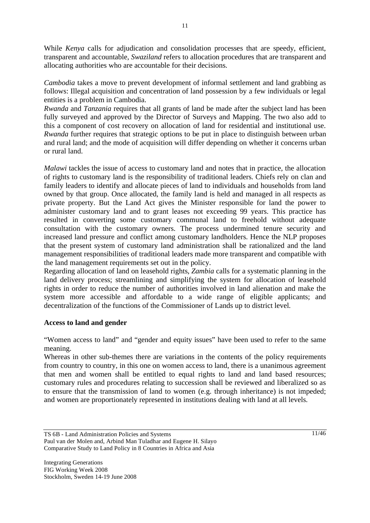While *Kenya* calls for adjudication and consolidation processes that are speedy, efficient, transparent and accountable, *Swaziland* refers to allocation procedures that are transparent and allocating authorities who are accountable for their decisions.

*Cambodia* takes a move to prevent development of informal settlement and land grabbing as follows: Illegal acquisition and concentration of land possession by a few individuals or legal entities is a problem in Cambodia.

*Rwanda* and *Tanzania* requires that all grants of land be made after the subject land has been fully surveyed and approved by the Director of Surveys and Mapping. The two also add to this a component of cost recovery on allocation of land for residential and institutional use. *Rwanda* further requires that strategic options to be put in place to distinguish between urban and rural land; and the mode of acquisition will differ depending on whether it concerns urban or rural land.

*Malawi* tackles the issue of access to customary land and notes that in practice, the allocation of rights to customary land is the responsibility of traditional leaders. Chiefs rely on clan and family leaders to identify and allocate pieces of land to individuals and households from land owned by that group. Once allocated, the family land is held and managed in all respects as private property. But the Land Act gives the Minister responsible for land the power to administer customary land and to grant leases not exceeding 99 years. This practice has resulted in converting some customary communal land to freehold without adequate consultation with the customary owners. The process undermined tenure security and increased land pressure and conflict among customary landholders. Hence the NLP proposes that the present system of customary land administration shall be rationalized and the land management responsibilities of traditional leaders made more transparent and compatible with the land management requirements set out in the policy.

Regarding allocation of land on leasehold rights, *Zambia* calls for a systematic planning in the land delivery process; streamlining and simplifying the system for allocation of leasehold rights in order to reduce the number of authorities involved in land alienation and make the system more accessible and affordable to a wide range of eligible applicants; and decentralization of the functions of the Commissioner of Lands up to district level.

## **Access to land and gender**

"Women access to land" and "gender and equity issues" have been used to refer to the same meaning.

Whereas in other sub-themes there are variations in the contents of the policy requirements from country to country, in this one on women access to land, there is a unanimous agreement that men and women shall be entitled to equal rights to land and land based resources; customary rules and procedures relating to succession shall be reviewed and liberalized so as to ensure that the transmission of land to women (e.g. through inheritance) is not impeded; and women are proportionately represented in institutions dealing with land at all levels.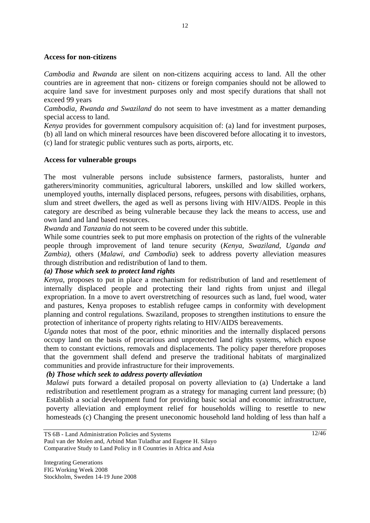#### **Access for non-citizens**

*Cambodia* and *Rwanda* are silent on non-citizens acquiring access to land. All the other countries are in agreement that non- citizens or foreign companies should not be allowed to acquire land save for investment purposes only and most specify durations that shall not exceed 99 years

*Cambodia, Rwanda and Swaziland* do not seem to have investment as a matter demanding special access to land.

*Kenya* provides for government compulsory acquisition of: (a) land for investment purposes, (b) all land on which mineral resources have been discovered before allocating it to investors, (c) land for strategic public ventures such as ports, airports, etc.

#### **Access for vulnerable groups**

The most vulnerable persons include subsistence farmers, pastoralists, hunter and gatherers/minority communities, agricultural laborers, unskilled and low skilled workers, unemployed youths, internally displaced persons, refugees, persons with disabilities, orphans, slum and street dwellers, the aged as well as persons living with HIV/AIDS. People in this category are described as being vulnerable because they lack the means to access, use and own land and land based resources.

*Rwanda* and *Tanzania* do not seem to be covered under this subtitle.

While some countries seek to put more emphasis on protection of the rights of the vulnerable people through improvement of land tenure security (*Kenya, Swaziland, Uganda and Zambia),* others (*Malawi, and Cambodia*) seek to address poverty alleviation measures through distribution and redistribution of land to them.

#### *(a) Those which seek to protect land rights*

*Kenya*, proposes to put in place a mechanism for redistribution of land and resettlement of internally displaced people and protecting their land rights from unjust and illegal expropriation. In a move to avert overstretching of resources such as land, fuel wood, water and pastures, Kenya proposes to establish refugee camps in conformity with development planning and control regulations. Swaziland, proposes to strengthen institutions to ensure the protection of inheritance of property rights relating to HIV/AIDS bereavements.

*Uganda* notes that most of the poor, ethnic minorities and the internally displaced persons occupy land on the basis of precarious and unprotected land rights systems, which expose them to constant evictions, removals and displacements. The policy paper therefore proposes that the government shall defend and preserve the traditional habitats of marginalized communities and provide infrastructure for their improvements.

#### *(b) Those which seek to address poverty alleviation*

*Malawi* puts forward a detailed proposal on poverty alleviation to (a) Undertake a land redistribution and resettlement program as a strategy for managing current land pressure; (b) Establish a social development fund for providing basic social and economic infrastructure, poverty alleviation and employment relief for households willing to resettle to new homesteads (c) Changing the present uneconomic household land holding of less than half a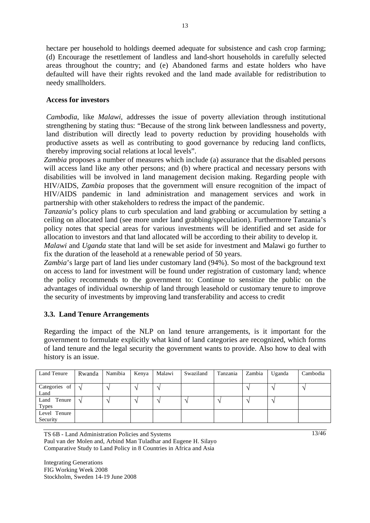hectare per household to holdings deemed adequate for subsistence and cash crop farming; (d) Encourage the resettlement of landless and land-short households in carefully selected areas throughout the country; and (e) Abandoned farms and estate holders who have defaulted will have their rights revoked and the land made available for redistribution to needy smallholders.

#### **Access for investors**

*Cambodia*, like *Malawi*, addresses the issue of poverty alleviation through institutional strengthening by stating thus: "Because of the strong link between landlessness and poverty, land distribution will directly lead to poverty reduction by providing households with productive assets as well as contributing to good governance by reducing land conflicts, thereby improving social relations at local levels".

Zambia proposes a number of measures which include (a) assurance that the disabled persons will access land like any other persons; and (b) where practical and necessary persons with disabilities will be involved in land management decision making. Regarding people with HIV/AIDS, *Zambia* proposes that the government will ensure recognition of the impact of HIV/AIDS pandemic in land administration and management services and work in partnership with other stakeholders to redress the impact of the pandemic.

*Tanzania*'s policy plans to curb speculation and land grabbing or accumulation by setting a ceiling on allocated land (see more under land grabbing/speculation). Furthermore Tanzania's policy notes that special areas for various investments will be identified and set aside for allocation to investors and that land allocated will be according to their ability to develop it.

*Malawi* and *Uganda* state that land will be set aside for investment and Malawi go further to fix the duration of the leasehold at a renewable period of 50 years.

*Zambia*'s large part of land lies under customary land (94%). So most of the background text on access to land for investment will be found under registration of customary land; whence the policy recommends to the government to: Continue to sensitize the public on the advantages of individual ownership of land through leasehold or customary tenure to improve the security of investments by improving land transferability and access to credit

#### **3.3. Land Tenure Arrangements**

Regarding the impact of the NLP on land tenure arrangements, is it important for the government to formulate explicitly what kind of land categories are recognized, which forms of land tenure and the legal security the government wants to provide. Also how to deal with history is an issue.

| Land Tenure                    | Rwanda | Namibia | Kenya | Malawi | Swaziland | Tanzania | Zambia | Uganda | Cambodia |
|--------------------------------|--------|---------|-------|--------|-----------|----------|--------|--------|----------|
| Categories of  <br>Land        | $\sim$ |         |       |        |           |          |        |        |          |
| Land<br>Tenure<br><b>Types</b> | $\sim$ |         |       |        |           |          |        |        |          |
| Level Tenure<br>Security       |        |         |       |        |           |          |        |        |          |

TS 6B - Land Administration Policies and Systems Paul van der Molen and, Arbind Man Tuladhar and Eugene H. Silayo

Comparative Study to Land Policy in 8 Countries in Africa and Asia

Integrating Generations FIG Working Week 2008 Stockholm, Sweden 14-19 June 2008 13/46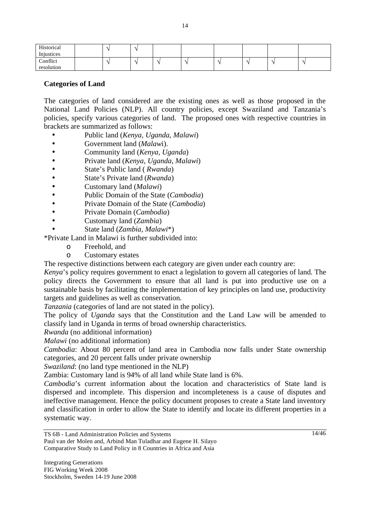| Historical<br>Injustices |  |  |  |  |  |
|--------------------------|--|--|--|--|--|
| Conflict<br>resolution   |  |  |  |  |  |

#### **Categories of Land**

The categories of land considered are the existing ones as well as those proposed in the National Land Policies (NLP). All country policies, except Swaziland and Tanzania's policies, specify various categories of land. The proposed ones with respective countries in brackets are summarized as follows:

- Public land (*Kenya, Uganda, Malawi*)
- Government land (*Malaw*i).
- Community land (*Kenya, Uganda*)
- Private land (*Kenya, Uganda, Malawi*)
- State's Public land ( *Rwanda*)
- State's Private land (*Rwanda*)
- Customary land (*Malawi*)
- Public Domain of the State (*Cambodia*)
- Private Domain of the State (*Cambodia*)
- Private Domain (*Cambodia*)
- Customary land (*Zambia*)
- State land (*Zambia, Malawi*\*)

\*Private Land in Malawi is further subdivided into:

- o Freehold, and
- o Customary estates

The respective distinctions between each category are given under each country are:

*Kenya*'s policy requires government to enact a legislation to govern all categories of land. The policy directs the Government to ensure that all land is put into productive use on a sustainable basis by facilitating the implementation of key principles on land use, productivity targets and guidelines as well as conservation.

*Tanzania* (categories of land are not stated in the policy).

The policy of *Uganda* says that the Constitution and the Land Law will be amended to classify land in Uganda in terms of broad ownership characteristics.

*Rwanda* (no additional information)

*Malawi* (no additional information)

*Cambodia*: About 80 percent of land area in Cambodia now falls under State ownership categories, and 20 percent falls under private ownership

*Swaziland*: (no land type mentioned in the NLP)

Zambia: Customary land is 94% of all land while State land is 6%.

*Cambodia*'s current information about the location and characteristics of State land is dispersed and incomplete. This dispersion and incompleteness is a cause of disputes and ineffective management. Hence the policy document proposes to create a State land inventory and classification in order to allow the State to identify and locate its different properties in a systematic way.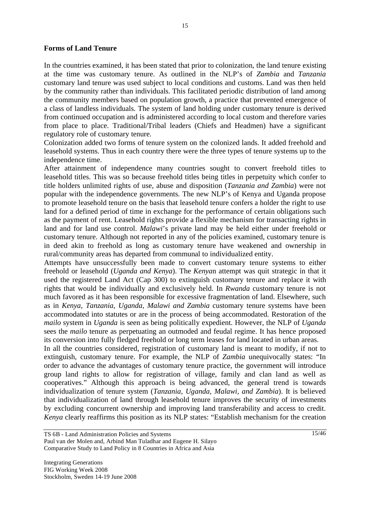#### **Forms of Land Tenure**

In the countries examined, it has been stated that prior to colonization, the land tenure existing at the time was customary tenure. As outlined in the NLP's of *Zambia* and *Tanzania* customary land tenure was used subject to local conditions and customs. Land was then held by the community rather than individuals. This facilitated periodic distribution of land among the community members based on population growth, a practice that prevented emergence of a class of landless individuals. The system of land holding under customary tenure is derived from continued occupation and is administered according to local custom and therefore varies from place to place. Traditional/Tribal leaders (Chiefs and Headmen) have a significant regulatory role of customary tenure.

Colonization added two forms of tenure system on the colonized lands. It added freehold and leasehold systems. Thus in each country there were the three types of tenure systems up to the independence time.

After attainment of independence many countries sought to convert freehold titles to leasehold titles. This was so because freehold titles being titles in perpetuity which confer to title holders unlimited rights of use, abuse and disposition (*Tanzania and Zambia*) were not popular with the independence governments. The new NLP's of Kenya and Uganda propose to promote leasehold tenure on the basis that leasehold tenure confers a holder the right to use land for a defined period of time in exchange for the performance of certain obligations such as the payment of rent. Leasehold rights provide a flexible mechanism for transacting rights in land and for land use control. *Malawi*'s private land may be held either under freehold or customary tenure. Although not reported in any of the policies examined, customary tenure is in deed akin to freehold as long as customary tenure have weakened and ownership in rural/community areas has departed from communal to individualized entity.

Attempts have unsuccessfully been made to convert customary tenure systems to either freehold or leasehold (*Uganda and Kenya*). The *Kenya*n attempt was quit strategic in that it used the registered Land Act (Cap 300) to extinguish customary tenure and replace it with rights that would be individually and exclusively held. In *Rwanda* customary tenure is not much favored as it has been responsible for excessive fragmentation of land. Elsewhere, such as in *Kenya, Tanzania, Uganda, Malawi and Zambia* customary tenure systems have been accommodated into statutes or are in the process of being accommodated. Restoration of the *mailo* system in *Uganda* is seen as being politically expedient. However, the NLP of *Uganda*  sees the *mailo* tenure as perpetuating an outmoded and feudal regime. It has hence proposed its conversion into fully fledged freehold or long term leases for land located in urban areas.

In all the countries considered, registration of customary land is meant to modify, if not to extinguish, customary tenure. For example, the NLP of *Zambia* unequivocally states: "In order to advance the advantages of customary tenure practice, the government will introduce group land rights to allow for registration of village, family and clan land as well as cooperatives." Although this approach is being advanced, the general trend is towards individualization of tenure system (*Tanzania, Uganda, Malawi, and Zambia*). It is believed that individualization of land through leasehold tenure improves the security of investments by excluding concurrent ownership and improving land transferability and access to credit. *Kenya* clearly reaffirms this position as its NLP states: "Establish mechanism for the creation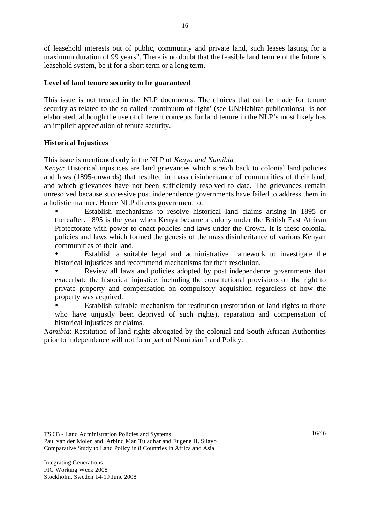of leasehold interests out of public, community and private land, such leases lasting for a maximum duration of 99 years". There is no doubt that the feasible land tenure of the future is leasehold system, be it for a short term or a long term.

### **Level of land tenure security to be guaranteed**

This issue is not treated in the NLP documents. The choices that can be made for tenure security as related to the so called 'continuum of right' (see UN/Habitat publications) is not elaborated, although the use of different concepts for land tenure in the NLP's most likely has an implicit appreciation of tenure security.

### **Historical Injustices**

This issue is mentioned only in the NLP of *Kenya and Namibia*

*Kenya*: Historical injustices are land grievances which stretch back to colonial land policies and laws (1895-onwards) that resulted in mass disinheritance of communities of their land, and which grievances have not been sufficiently resolved to date. The grievances remain unresolved because successive post independence governments have failed to address them in a holistic manner. Hence NLP directs government to:

• Establish mechanisms to resolve historical land claims arising in 1895 or thereafter. 1895 is the year when Kenya became a colony under the British East African Protectorate with power to enact policies and laws under the Crown. It is these colonial policies and laws which formed the genesis of the mass disinheritance of various Kenyan communities of their land.

• Establish a suitable legal and administrative framework to investigate the historical injustices and recommend mechanisms for their resolution.

Review all laws and policies adopted by post independence governments that exacerbate the historical injustice, including the constitutional provisions on the right to private property and compensation on compulsory acquisition regardless of how the property was acquired.

Establish suitable mechanism for restitution (restoration of land rights to those who have unjustly been deprived of such rights), reparation and compensation of historical injustices or claims.

*Namibia*: Restitution of land rights abrogated by the colonial and South African Authorities prior to independence will not form part of Namibian Land Policy.

TS 6B - Land Administration Policies and Systems Paul van der Molen and, Arbind Man Tuladhar and Eugene H. Silayo Comparative Study to Land Policy in 8 Countries in Africa and Asia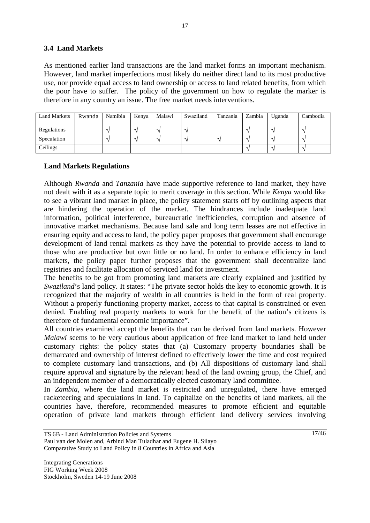### **3.4 Land Markets**

As mentioned earlier land transactions are the land market forms an important mechanism. However, land market imperfections most likely do neither direct land to its most productive use, nor provide equal access to land ownership or access to land related benefits, from which the poor have to suffer. The policy of the government on how to regulate the marker is therefore in any country an issue. The free market needs interventions.

| <b>Land Markets</b> | Rwanda | Namibia | Kenya | Malawi | Swaziland | Tanzania | Zambia | Uganda | Cambodia |
|---------------------|--------|---------|-------|--------|-----------|----------|--------|--------|----------|
|                     |        |         |       |        |           |          |        |        |          |
| Regulations         |        |         |       |        |           |          |        |        |          |
| Speculation         |        |         |       |        |           |          |        |        |          |
| Ceilings            |        |         |       |        |           |          |        |        |          |

### **Land Markets Regulations**

Although *Rwanda* and *Tanzania* have made supportive reference to land market, they have not dealt with it as a separate topic to merit coverage in this section. While *Kenya* would like to see a vibrant land market in place, the policy statement starts off by outlining aspects that are hindering the operation of the market. The hindrances include inadequate land information, political interference, bureaucratic inefficiencies, corruption and absence of innovative market mechanisms. Because land sale and long term leases are not effective in ensuring equity and access to land, the policy paper proposes that government shall encourage development of land rental markets as they have the potential to provide access to land to those who are productive but own little or no land. In order to enhance efficiency in land markets, the policy paper further proposes that the government shall decentralize land registries and facilitate allocation of serviced land for investment.

The benefits to be got from promoting land markets are clearly explained and justified by *Swaziland*'s land policy. It states: "The private sector holds the key to economic growth. It is recognized that the majority of wealth in all countries is held in the form of real property. Without a properly functioning property market, access to that capital is constrained or even denied. Enabling real property markets to work for the benefit of the nation's citizens is therefore of fundamental economic importance".

All countries examined accept the benefits that can be derived from land markets. However *Malawi* seems to be very cautious about application of free land market to land held under customary rights: the policy states that (a) Customary property boundaries shall be demarcated and ownership of interest defined to effectively lower the time and cost required to complete customary land transactions, and (b) All dispositions of customary land shall require approval and signature by the relevant head of the land owning group, the Chief, and an independent member of a democratically elected customary land committee.

In *Zambia*, where the land market is restricted and unregulated, there have emerged racketeering and speculations in land. To capitalize on the benefits of land markets, all the countries have, therefore, recommended measures to promote efficient and equitable operation of private land markets through efficient land delivery services involving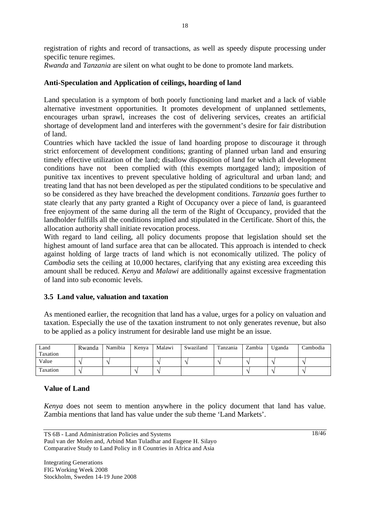registration of rights and record of transactions, as well as speedy dispute processing under specific tenure regimes.

*Rwanda* and *Tanzania* are silent on what ought to be done to promote land markets.

## **Anti-Speculation and Application of ceilings, hoarding of land**

Land speculation is a symptom of both poorly functioning land market and a lack of viable alternative investment opportunities. It promotes development of unplanned settlements, encourages urban sprawl, increases the cost of delivering services, creates an artificial shortage of development land and interferes with the government's desire for fair distribution of land.

Countries which have tackled the issue of land hoarding propose to discourage it through strict enforcement of development conditions; granting of planned urban land and ensuring timely effective utilization of the land; disallow disposition of land for which all development conditions have not been complied with (this exempts mortgaged land); imposition of punitive tax incentives to prevent speculative holding of agricultural and urban land; and treating land that has not been developed as per the stipulated conditions to be speculative and so be considered as they have breached the development conditions. *Tanzania* goes further to state clearly that any party granted a Right of Occupancy over a piece of land, is guaranteed free enjoyment of the same during all the term of the Right of Occupancy, provided that the landholder fulfills all the conditions implied and stipulated in the Certificate. Short of this, the allocation authority shall initiate revocation process.

With regard to land ceiling, all policy documents propose that legislation should set the highest amount of land surface area that can be allocated. This approach is intended to check against holding of large tracts of land which is not economically utilized. The policy of *Cambodia* sets the ceiling at 10,000 hectares, clarifying that any existing area exceeding this amount shall be reduced. *Kenya* and *Malawi* are additionally against excessive fragmentation of land into sub economic levels.

## **3.5 Land value, valuation and taxation**

As mentioned earlier, the recognition that land has a value, urges for a policy on valuation and taxation. Especially the use of the taxation instrument to not only generates revenue, but also to be applied as a policy instrument for desirable land use might be an issue.

| Land<br>Taxation | Rwanda | Namibia | Kenya | Malawi | Swaziland | Tanzania | Zambia | Uganda | Cambodia |
|------------------|--------|---------|-------|--------|-----------|----------|--------|--------|----------|
| Value            |        |         |       |        |           |          |        |        |          |
| Taxation         |        |         |       |        |           |          |        |        |          |

## **Value of Land**

*Kenya* does not seem to mention anywhere in the policy document that land has value. Zambia mentions that land has value under the sub theme 'Land Markets'.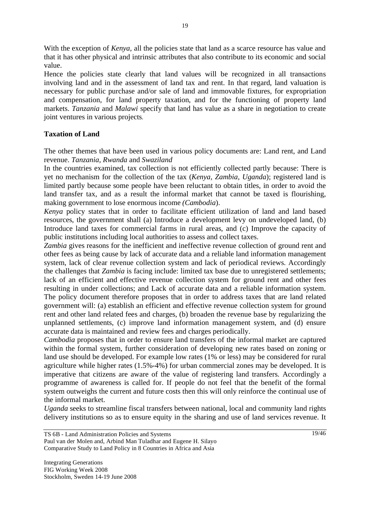With the exception of *Kenya*, all the policies state that land as a scarce resource has value and that it has other physical and intrinsic attributes that also contribute to its economic and social value.

Hence the policies state clearly that land values will be recognized in all transactions involving land and in the assessment of land tax and rent. In that regard, land valuation is necessary for public purchase and/or sale of land and immovable fixtures, for expropriation and compensation, for land property taxation, and for the functioning of property land markets. *Tanzania* and *Malawi* specify that land has value as a share in negotiation to create joint ventures in various projects.

### **Taxation of Land**

The other themes that have been used in various policy documents are: Land rent, and Land revenue. *Tanzania*, *Rwanda* and *Swaziland*

In the countries examined, tax collection is not efficiently collected partly because: There is yet no mechanism for the collection of the tax (*Kenya, Zambia, Uganda*); registered land is limited partly because some people have been reluctant to obtain titles, in order to avoid the land transfer tax, and as a result the informal market that cannot be taxed is flourishing, making government to lose enormous income *(Cambodia*).

*Kenya* policy states that in order to facilitate efficient utilization of land and land based resources, the government shall (a) Introduce a development levy on undeveloped land, (b) Introduce land taxes for commercial farms in rural areas, and (c) Improve the capacity of public institutions including local authorities to assess and collect taxes.

*Zambia* gives reasons for the inefficient and ineffective revenue collection of ground rent and other fees as being cause by lack of accurate data and a reliable land information management system, lack of clear revenue collection system and lack of periodical reviews. Accordingly the challenges that *Zambia* is facing include: limited tax base due to unregistered settlements; lack of an efficient and effective revenue collection system for ground rent and other fees resulting in under collections; and Lack of accurate data and a reliable information system. The policy document therefore proposes that in order to address taxes that are land related government will: (a) establish an efficient and effective revenue collection system for ground rent and other land related fees and charges, (b) broaden the revenue base by regularizing the unplanned settlements, (c) improve land information management system, and (d) ensure accurate data is maintained and review fees and charges periodically.

*Cambodia* proposes that in order to ensure land transfers of the informal market are captured within the formal system, further consideration of developing new rates based on zoning or land use should be developed. For example low rates (1% or less) may be considered for rural agriculture while higher rates (1.5%-4%) for urban commercial zones may be developed. It is imperative that citizens are aware of the value of registering land transfers. Accordingly a programme of awareness is called for. If people do not feel that the benefit of the formal system outweighs the current and future costs then this will only reinforce the continual use of the informal market.

*Uganda* seeks to streamline fiscal transfers between national, local and community land rights delivery institutions so as to ensure equity in the sharing and use of land services revenue. It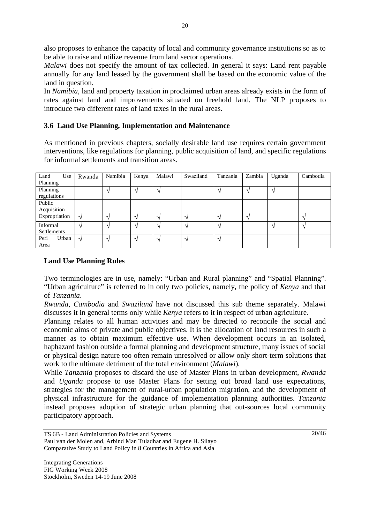also proposes to enhance the capacity of local and community governance institutions so as to be able to raise and utilize revenue from land sector operations.

*Malawi* does not specify the amount of tax collected. In general it says: Land rent payable annually for any land leased by the government shall be based on the economic value of the land in question.

In *Namibia*, land and property taxation in proclaimed urban areas already exists in the form of rates against land and improvements situated on freehold land. The NLP proposes to introduce two different rates of land taxes in the rural areas.

## **3.6 Land Use Planning, Implementation and Maintenance**

As mentioned in previous chapters, socially desirable land use requires certain government interventions, like regulations for planning, public acquisition of land, and specific regulations for informal settlements and transition areas.

| Land<br>Use   | Rwanda        | Namibia           | Kenya                    | Malawi          | Swaziland         | Tanzania                 | Zambia | Uganda            | Cambodia |
|---------------|---------------|-------------------|--------------------------|-----------------|-------------------|--------------------------|--------|-------------------|----------|
| Planning      |               |                   |                          |                 |                   |                          |        |                   |          |
| Planning      |               |                   | $\triangleleft$          | $\triangleleft$ |                   | $\overline{\phantom{a}}$ |        | $\Delta$          |          |
| regulations   |               |                   |                          |                 |                   |                          |        |                   |          |
| Public        |               |                   |                          |                 |                   |                          |        |                   |          |
| Acquisition   |               |                   |                          |                 |                   |                          |        |                   |          |
| Expropriation | ٦             |                   | $\overline{\phantom{a}}$ |                 | $\mathcal{L}_{l}$ | $\mathbf{\hat{}}$        |        |                   |          |
| Informal      | $\lambda$     | $\mathbf \Lambda$ | $\lambda$                | $\triangleleft$ | $\mathcal{N}$     | $\lambda$                |        | $\mathbf \Lambda$ |          |
| Settlements   |               |                   |                          |                 |                   |                          |        |                   |          |
| Peri<br>Urban | $\mathcal{L}$ |                   | $\triangleleft$          | $\triangle$     | $\mathcal{N}$     | $\Delta$                 |        |                   |          |
| Area          |               |                   |                          |                 |                   |                          |        |                   |          |

#### **Land Use Planning Rules**

Two terminologies are in use, namely: "Urban and Rural planning" and "Spatial Planning". "Urban agriculture" is referred to in only two policies, namely, the policy of *Kenya* and that of *Tanzania*.

*Rwanda, Cambodia* and *Swaziland* have not discussed this sub theme separately. Malawi discusses it in general terms only while *Kenya* refers to it in respect of urban agriculture.

Planning relates to all human activities and may be directed to reconcile the social and economic aims of private and public objectives. It is the allocation of land resources in such a manner as to obtain maximum effective use. When development occurs in an isolated, haphazard fashion outside a formal planning and development structure, many issues of social or physical design nature too often remain unresolved or allow only short-term solutions that work to the ultimate detriment of the total environment (*Malawi*).

While *Tanzania* proposes to discard the use of Master Plans in urban development, *Rwanda* and *Uganda* propose to use Master Plans for setting out broad land use expectations, strategies for the management of rural-urban population migration, and the development of physical infrastructure for the guidance of implementation planning authorities. *Tanzania* instead proposes adoption of strategic urban planning that out-sources local community participatory approach.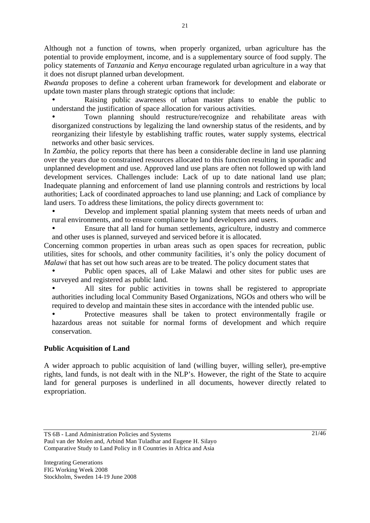Although not a function of towns, when properly organized, urban agriculture has the potential to provide employment, income, and is a supplementary source of food supply. The policy statements of *Tanzania* and *Kenya* encourage regulated urban agriculture in a way that it does not disrupt planned urban development.

*Rwanda* proposes to define a coherent urban framework for development and elaborate or update town master plans through strategic options that include:

Raising public awareness of urban master plans to enable the public to understand the justification of space allocation for various activities.

• Town planning should restructure/recognize and rehabilitate areas with disorganized constructions by legalizing the land ownership status of the residents, and by reorganizing their lifestyle by establishing traffic routes, water supply systems, electrical networks and other basic services.

In *Zambia*, the policy reports that there has been a considerable decline in land use planning over the years due to constrained resources allocated to this function resulting in sporadic and unplanned development and use. Approved land use plans are often not followed up with land development services. Challenges include: Lack of up to date national land use plan; Inadequate planning and enforcement of land use planning controls and restrictions by local authorities; Lack of coordinated approaches to land use planning; and Lack of compliance by land users. To address these limitations, the policy directs government to:

• Develop and implement spatial planning system that meets needs of urban and rural environments, and to ensure compliance by land developers and users.

• Ensure that all land for human settlements, agriculture, industry and commerce and other uses is planned, surveyed and serviced before it is allocated.

Concerning common properties in urban areas such as open spaces for recreation, public utilities, sites for schools, and other community facilities, it's only the policy document of *Malawi* that has set out how such areas are to be treated. The policy document states that

• Public open spaces, all of Lake Malawi and other sites for public uses are surveyed and registered as public land.

All sites for public activities in towns shall be registered to appropriate authorities including local Community Based Organizations, NGOs and others who will be required to develop and maintain these sites in accordance with the intended public use.

• Protective measures shall be taken to protect environmentally fragile or hazardous areas not suitable for normal forms of development and which require conservation.

#### **Public Acquisition of Land**

A wider approach to public acquisition of land (willing buyer, willing seller), pre-emptive rights, land funds, is not dealt with in the NLP's. However, the right of the State to acquire land for general purposes is underlined in all documents, however directly related to expropriation.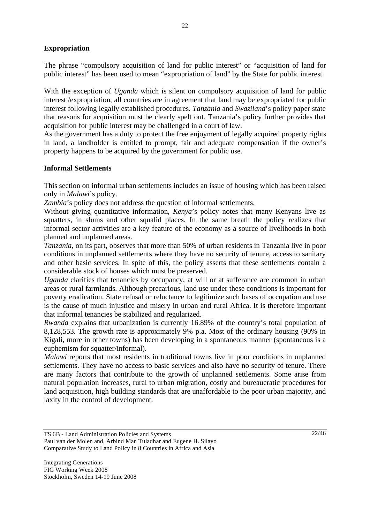### **Expropriation**

The phrase "compulsory acquisition of land for public interest" or "acquisition of land for public interest" has been used to mean "expropriation of land" by the State for public interest.

With the exception of *Uganda* which is silent on compulsory acquisition of land for public interest /expropriation, all countries are in agreement that land may be expropriated for public interest following legally established procedures. *Tanzania* and *Swaziland*'s policy paper state that reasons for acquisition must be clearly spelt out. Tanzania's policy further provides that acquisition for public interest may be challenged in a court of law.

As the government has a duty to protect the free enjoyment of legally acquired property rights in land, a landholder is entitled to prompt, fair and adequate compensation if the owner's property happens to be acquired by the government for public use.

#### **Informal Settlements**

This section on informal urban settlements includes an issue of housing which has been raised only in *Malawi*'s policy.

*Zambia*'s policy does not address the question of informal settlements.

Without giving quantitative information, *Kenya*'s policy notes that many Kenyans live as squatters, in slums and other squalid places. In the same breath the policy realizes that informal sector activities are a key feature of the economy as a source of livelihoods in both planned and unplanned areas.

*Tanzania*, on its part, observes that more than 50% of urban residents in Tanzania live in poor conditions in unplanned settlements where they have no security of tenure, access to sanitary and other basic services. In spite of this, the policy asserts that these settlements contain a considerable stock of houses which must be preserved.

*Uganda* clarifies that tenancies by occupancy, at will or at sufferance are common in urban areas or rural farmlands. Although precarious, land use under these conditions is important for poverty eradication. State refusal or reluctance to legitimize such bases of occupation and use is the cause of much injustice and misery in urban and rural Africa. It is therefore important that informal tenancies be stabilized and regularized.

*Rwanda* explains that urbanization is currently 16.89% of the country's total population of 8,128,553. The growth rate is approximately 9% p.a. Most of the ordinary housing (90% in Kigali, more in other towns) has been developing in a spontaneous manner (spontaneous is a euphemism for squatter/informal).

*Malawi* reports that most residents in traditional towns live in poor conditions in unplanned settlements. They have no access to basic services and also have no security of tenure. There are many factors that contribute to the growth of unplanned settlements. Some arise from natural population increases, rural to urban migration, costly and bureaucratic procedures for land acquisition, high building standards that are unaffordable to the poor urban majority, and laxity in the control of development.

TS 6B - Land Administration Policies and Systems Paul van der Molen and, Arbind Man Tuladhar and Eugene H. Silayo Comparative Study to Land Policy in 8 Countries in Africa and Asia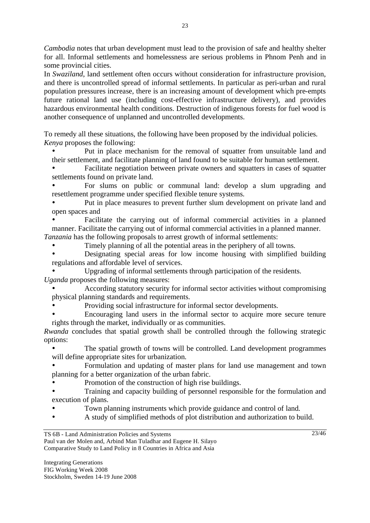*Cambodia* notes that urban development must lead to the provision of safe and healthy shelter for all. Informal settlements and homelessness are serious problems in Phnom Penh and in some provincial cities.

In *Swaziland*, land settlement often occurs without consideration for infrastructure provision, and there is uncontrolled spread of informal settlements. In particular as peri-urban and rural population pressures increase, there is an increasing amount of development which pre-empts future rational land use (including cost-effective infrastructure delivery), and provides hazardous environmental health conditions. Destruction of indigenous forests for fuel wood is another consequence of unplanned and uncontrolled developments.

To remedy all these situations, the following have been proposed by the individual policies. *Kenya* proposes the following:

• Put in place mechanism for the removal of squatter from unsuitable land and their settlement, and facilitate planning of land found to be suitable for human settlement.

• Facilitate negotiation between private owners and squatters in cases of squatter settlements found on private land.

• For slums on public or communal land: develop a slum upgrading and resettlement programme under specified flexible tenure systems.

• Put in place measures to prevent further slum development on private land and open spaces and

• Facilitate the carrying out of informal commercial activities in a planned manner. Facilitate the carrying out of informal commercial activities in a planned manner. *Tanzania* has the following proposals to arrest growth of informal settlements:

• Timely planning of all the potential areas in the periphery of all towns.

• Designating special areas for low income housing with simplified building regulations and affordable level of services.

• Upgrading of informal settlements through participation of the residents.

*Uganda* proposes the following measures:

• According statutory security for informal sector activities without compromising physical planning standards and requirements.

• Providing social infrastructure for informal sector developments.

• Encouraging land users in the informal sector to acquire more secure tenure rights through the market, individually or as communities.

*Rwanda* concludes that spatial growth shall be controlled through the following strategic options:

The spatial growth of towns will be controlled. Land development programmes will define appropriate sites for urbanization.

• Formulation and updating of master plans for land use management and town planning for a better organization of the urban fabric.

• Promotion of the construction of high rise buildings.

• Training and capacity building of personnel responsible for the formulation and execution of plans.

- Town planning instruments which provide guidance and control of land.
- A study of simplified methods of plot distribution and authorization to build.

TS 6B - Land Administration Policies and Systems Paul van der Molen and, Arbind Man Tuladhar and Eugene H. Silayo Comparative Study to Land Policy in 8 Countries in Africa and Asia

Integrating Generations FIG Working Week 2008 Stockholm, Sweden 14-19 June 2008 23/46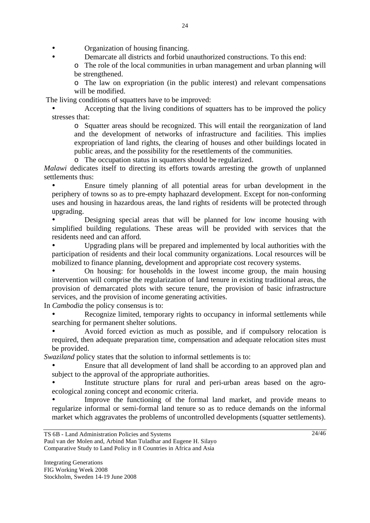• **Comendiate** Organization of housing financing.

• Demarcate all districts and forbid unauthorized constructions. To this end:

o The role of the local communities in urban management and urban planning will be strengthened.

o The law on expropriation (in the public interest) and relevant compensations will be modified.

The living conditions of squatters have to be improved:

• Accepting that the living conditions of squatters has to be improved the policy stresses that:

o Squatter areas should be recognized. This will entail the reorganization of land and the development of networks of infrastructure and facilities. This implies expropriation of land rights, the clearing of houses and other buildings located in public areas, and the possibility for the resettlements of the communities.

o The occupation status in squatters should be regularized.

*Malawi* dedicates itself to directing its efforts towards arresting the growth of unplanned settlements thus:

• Ensure timely planning of all potential areas for urban development in the periphery of towns so as to pre-empty haphazard development. Except for non-conforming uses and housing in hazardous areas, the land rights of residents will be protected through upgrading.

• Designing special areas that will be planned for low income housing with simplified building regulations. These areas will be provided with services that the residents need and can afford.

• Upgrading plans will be prepared and implemented by local authorities with the participation of residents and their local community organizations. Local resources will be mobilized to finance planning, development and appropriate cost recovery systems.

• On housing: for households in the lowest income group, the main housing intervention will comprise the regularization of land tenure in existing traditional areas, the provision of demarcated plots with secure tenure, the provision of basic infrastructure services, and the provision of income generating activities.

In *Cambodia* the policy consensus is to:

Recognize limited, temporary rights to occupancy in informal settlements while searching for permanent shelter solutions.

• Avoid forced eviction as much as possible, and if compulsory relocation is required, then adequate preparation time, compensation and adequate relocation sites must be provided.

*Swaziland* policy states that the solution to informal settlements is to:

• Ensure that all development of land shall be according to an approved plan and subject to the approval of the appropriate authorities.

Institute structure plans for rural and peri-urban areas based on the agroecological zoning concept and economic criteria.

Improve the functioning of the formal land market, and provide means to regularize informal or semi-formal land tenure so as to reduce demands on the informal market which aggravates the problems of uncontrolled developments (squatter settlements).

Paul van der Molen and, Arbind Man Tuladhar and Eugene H. Silayo Comparative Study to Land Policy in 8 Countries in Africa and Asia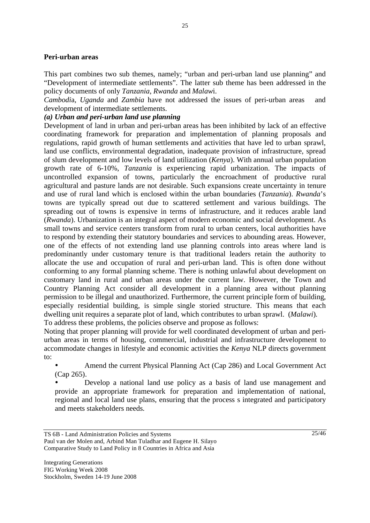#### **Peri-urban areas**

This part combines two sub themes, namely; "urban and peri-urban land use planning" and "Development of intermediate settlements". The latter sub theme has been addressed in the policy documents of only *Tanzania*, *Rwanda* and *Malaw*i.

*Cambodi*a, *Uganda* and *Zambia* have not addressed the issues of peri-urban areas and development of intermediate settlements.

#### *(a) Urban and peri-urban land use planning*

Development of land in urban and peri-urban areas has been inhibited by lack of an effective coordinating framework for preparation and implementation of planning proposals and regulations, rapid growth of human settlements and activities that have led to urban sprawl, land use conflicts, environmental degradation, inadequate provision of infrastructure, spread of slum development and low levels of land utilization (*Kenya*). With annual urban population growth rate of 6-10%, *Tanzania* is experiencing rapid urbanization. The impacts of uncontrolled expansion of towns, particularly the encroachment of productive rural agricultural and pasture lands are not desirable. Such expansions create uncertainty in tenure and use of rural land which is enclosed within the urban boundaries (*Tanzania*). *Rwanda*'s towns are typically spread out due to scattered settlement and various buildings. The spreading out of towns is expensive in terms of infrastructure, and it reduces arable land (*Rwanda*). Urbanization is an integral aspect of modern economic and social development. As small towns and service centers transform from rural to urban centers, local authorities have to respond by extending their statutory boundaries and services to abounding areas. However, one of the effects of not extending land use planning controls into areas where land is predominantly under customary tenure is that traditional leaders retain the authority to allocate the use and occupation of rural and peri-urban land. This is often done without conforming to any formal planning scheme. There is nothing unlawful about development on customary land in rural and urban areas under the current law. However, the Town and Country Planning Act consider all development in a planning area without planning permission to be illegal and unauthorized. Furthermore, the current principle form of building, especially residential building, is simple single storied structure. This means that each dwelling unit requires a separate plot of land, which contributes to urban sprawl. (*Malawi*). To address these problems, the policies observe and propose as follows:

Noting that proper planning will provide for well coordinated development of urban and periurban areas in terms of housing, commercial, industrial and infrastructure development to accommodate changes in lifestyle and economic activities the *Kenya* NLP directs government to:

• Amend the current Physical Planning Act (Cap 286) and Local Government Act (Cap 265).

• Develop a national land use policy as a basis of land use management and provide an appropriate framework for preparation and implementation of national, regional and local land use plans, ensuring that the process s integrated and participatory and meets stakeholders needs.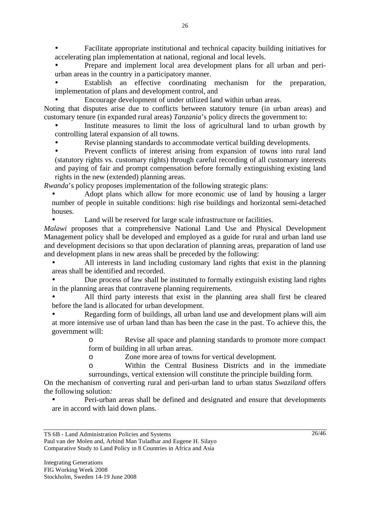• Facilitate appropriate institutional and technical capacity building initiatives for accelerating plan implementation at national, regional and local levels.

• Prepare and implement local area development plans for all urban and periurban areas in the country in a participatory manner.

Establish an effective coordinating mechanism for the preparation, implementation of plans and development control, and

• Encourage development of under utilized land within urban areas.

Noting that disputes arise due to conflicts between statutory tenure (in urban areas) and customary tenure (in expanded rural areas) *Tanzania*'s policy directs the government to:

• Institute measures to limit the loss of agricultural land to urban growth by controlling lateral expansion of all towns.

• Revise planning standards to accommodate vertical building developments.

• Prevent conflicts of interest arising from expansion of towns into rural land (statutory rights vs. customary rights) through careful recording of all customary interests and paying of fair and prompt compensation before formally extinguishing existing land rights in the new (extended) planning areas.

*Rwanda*'s policy proposes implementation of the following strategic plans:

• Adopt plans which allow for more economic use of land by housing a larger number of people in suitable conditions: high rise buildings and horizontal semi-detached houses.

Land will be reserved for large scale infrastructure or facilities.

*Malawi* proposes that a comprehensive National Land Use and Physical Development Management policy shall be developed and employed as a guide for rural and urban land use and development decisions so that upon declaration of planning areas, preparation of land use and development plans in new areas shall be preceded by the following:

• All interests in land including customary land rights that exist in the planning areas shall be identified and recorded.

• Due process of law shall be instituted to formally extinguish existing land rights in the planning areas that contravene planning requirements.

All third party interests that exist in the planning area shall first be cleared before the land is allocated for urban development.

• Regarding form of buildings, all urban land use and development plans will aim at more intensive use of urban land than has been the case in the past. To achieve this, the government will:

> o Revise all space and planning standards to promote more compact form of building in all urban areas.

o Zone more area of towns for vertical development.

o Within the Central Business Districts and in the immediate surroundings, vertical extension will constitute the principle building form.

On the mechanism of converting rural and peri-urban land to urban status *Swaziland* offers the following solution*:*

• Peri-urban areas shall be defined and designated and ensure that developments are in accord with laid down plans.

Paul van der Molen and, Arbind Man Tuladhar and Eugene H. Silayo Comparative Study to Land Policy in 8 Countries in Africa and Asia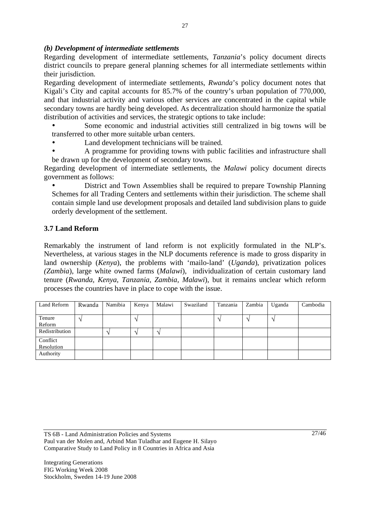#### *(b) Development of intermediate settlements*

Regarding development of intermediate settlements, *Tanzania*'s policy document directs district councils to prepare general planning schemes for all intermediate settlements within their jurisdiction.

Regarding development of intermediate settlements, *Rwanda*'s policy document notes that Kigali's City and capital accounts for 85.7% of the country's urban population of 770,000, and that industrial activity and various other services are concentrated in the capital while secondary towns are hardly being developed. As decentralization should harmonize the spatial distribution of activities and services, the strategic options to take include:

• Some economic and industrial activities still centralized in big towns will be transferred to other more suitable urban centers.

Land development technicians will be trained.

• A programme for providing towns with public facilities and infrastructure shall be drawn up for the development of secondary towns.

Regarding development of intermediate settlements, the *Malawi* policy document directs government as follows:

• District and Town Assemblies shall be required to prepare Township Planning Schemes for all Trading Centers and settlements within their jurisdiction. The scheme shall contain simple land use development proposals and detailed land subdivision plans to guide orderly development of the settlement.

### **3.7 Land Reform**

Remarkably the instrument of land reform is not explicitly formulated in the NLP's. Nevertheless, at various stages in the NLP documents reference is made to gross disparity in land ownership (*Kenya*), the problems with 'mailo-land' (*Uganda*), privatization polices *(Zambia*), large white owned farms (*Malawi*), individualization of certain customary land tenure (*Rwanda, Kenya, Tanzania, Zambia, Malawi*), but it remains unclear which reform processes the countries have in place to cope with the issue.

| Land Reform    | Rwanda | Namibia | Kenya | Malawi | Swaziland | Tanzania | Zambia   | Uganda                   | Cambodia |
|----------------|--------|---------|-------|--------|-----------|----------|----------|--------------------------|----------|
|                |        |         |       |        |           |          |          |                          |          |
| Tenure         |        |         |       |        |           |          | $\Delta$ | $\overline{\phantom{a}}$ |          |
| Reform         |        |         |       |        |           |          |          |                          |          |
| Redistribution |        |         |       |        |           |          |          |                          |          |
| Conflict       |        |         |       |        |           |          |          |                          |          |
| Resolution     |        |         |       |        |           |          |          |                          |          |
| Authority      |        |         |       |        |           |          |          |                          |          |

TS 6B - Land Administration Policies and Systems Paul van der Molen and, Arbind Man Tuladhar and Eugene H. Silayo Comparative Study to Land Policy in 8 Countries in Africa and Asia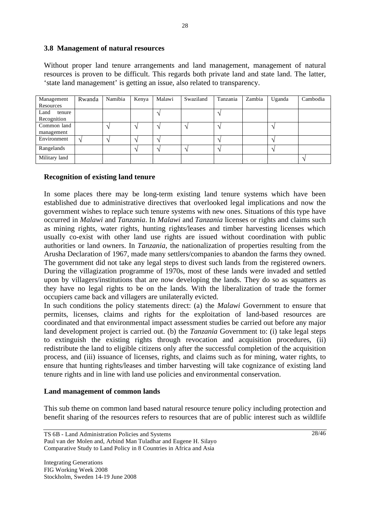#### **3.8 Management of natural resources**

Without proper land tenure arrangements and land management, management of natural resources is proven to be difficult. This regards both private land and state land. The latter, 'state land management' is getting an issue, also related to transparency.

| Management     | Rwanda | Namibia | Kenya | Malawi | Swaziland | Tanzania | Zambia | Uganda | Cambodia |
|----------------|--------|---------|-------|--------|-----------|----------|--------|--------|----------|
| Resources      |        |         |       |        |           |          |        |        |          |
| Land<br>tenure |        |         |       |        |           |          |        |        |          |
| Recognition    |        |         |       |        |           |          |        |        |          |
| Common land    |        |         |       |        |           |          |        |        |          |
| management     |        |         |       |        |           |          |        |        |          |
| Environment    |        |         |       |        |           |          |        |        |          |
| Rangelands     |        |         |       |        |           |          |        |        |          |
| Military land  |        |         |       |        |           |          |        |        |          |

#### **Recognition of existing land tenure**

In some places there may be long-term existing land tenure systems which have been established due to administrative directives that overlooked legal implications and now the government wishes to replace such tenure systems with new ones. Situations of this type have occurred in *Malawi* and *Tanzania*. In *Malawi* and *Tanzania* licenses or rights and claims such as mining rights, water rights, hunting rights/leases and timber harvesting licenses which usually co-exist with other land use rights are issued without coordination with public authorities or land owners. In *Tanzania*, the nationalization of properties resulting from the Arusha Declaration of 1967, made many settlers/companies to abandon the farms they owned. The government did not take any legal steps to divest such lands from the registered owners. During the villagization programme of 1970s, most of these lands were invaded and settled upon by villagers/institutions that are now developing the lands. They do so as squatters as they have no legal rights to be on the lands. With the liberalization of trade the former occupiers came back and villagers are unilaterally evicted.

In such conditions the policy statements direct: (a) the *Malawi* Government to ensure that permits, licenses, claims and rights for the exploitation of land-based resources are coordinated and that environmental impact assessment studies be carried out before any major land development project is carried out. (b) the *Tanzania* Government to: (i) take legal steps to extinguish the existing rights through revocation and acquisition procedures, (ii) redistribute the land to eligible citizens only after the successful completion of the acquisition process, and (iii) issuance of licenses, rights, and claims such as for mining, water rights, to ensure that hunting rights/leases and timber harvesting will take cognizance of existing land tenure rights and in line with land use policies and environmental conservation.

#### **Land management of common lands**

This sub theme on common land based natural resource tenure policy including protection and benefit sharing of the resources refers to resources that are of public interest such as wildlife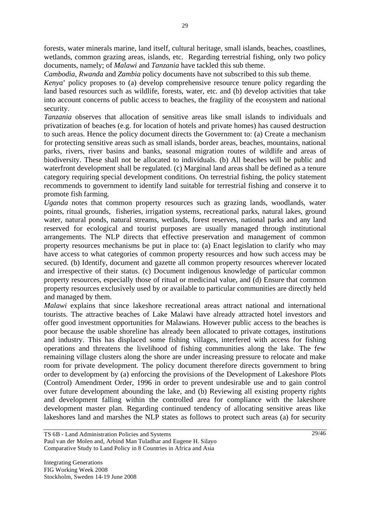forests, water minerals marine, land itself, cultural heritage, small islands, beaches, coastlines, wetlands, common grazing areas, islands, etc. Regarding terrestrial fishing, only two policy documents, namely; of *Malawi* and *Tanzania* have tackled this sub theme.

*Cambodia*, *Rwanda* and *Zambia* policy documents have not subscribed to this sub theme.

*Kenya*' policy proposes to (a) develop comprehensive resource tenure policy regarding the land based resources such as wildlife, forests, water, etc. and (b) develop activities that take into account concerns of public access to beaches, the fragility of the ecosystem and national security.

*Tanzania* observes that allocation of sensitive areas like small islands to individuals and privatization of beaches (e.g. for location of hotels and private homes) has caused destruction to such areas. Hence the policy document directs the Government to: (a) Create a mechanism for protecting sensitive areas such as small islands, border areas, beaches, mountains, national parks, rivers, river basins and banks, seasonal migration routes of wildlife and areas of biodiversity. These shall not be allocated to individuals. (b) All beaches will be public and waterfront development shall be regulated. (c) Marginal land areas shall be defined as a tenure category requiring special development conditions. On terrestrial fishing, the policy statement recommends to government to identify land suitable for terrestrial fishing and conserve it to promote fish farming.

*Uganda* notes that common property resources such as grazing lands, woodlands, water points, ritual grounds, fisheries, irrigation systems, recreational parks, natural lakes, ground water, natural ponds, natural streams, wetlands, forest reserves, national parks and any land reserved for ecological and tourist purposes are usually managed through institutional arrangements. The NLP directs that effective preservation and management of common property resources mechanisms be put in place to: (a) Enact legislation to clarify who may have access to what categories of common property resources and how such access may be secured. (b) Identify, document and gazette all common property resources wherever located and irrespective of their status. (c) Document indigenous knowledge of particular common property resources, especially those of ritual or medicinal value, and (d) Ensure that common property resources exclusively used by or available to particular communities are directly held and managed by them.

*Malawi* explains that since lakeshore recreational areas attract national and international tourists. The attractive beaches of Lake Malawi have already attracted hotel investors and offer good investment opportunities for Malawians. However public access to the beaches is poor because the usable shoreline has already been allocated to private cottages, institutions and industry. This has displaced some fishing villages, interfered with access for fishing operations and threatens the livelihood of fishing communities along the lake. The few remaining village clusters along the shore are under increasing pressure to relocate and make room for private development. The policy document therefore directs government to bring order to development by (a) enforcing the provisions of the Development of Lakeshore Plots (Control) Amendment Order, 1996 in order to prevent undesirable use and to gain control over future development abounding the lake, and (b) Reviewing all existing property rights and development falling within the controlled area for compliance with the lakeshore development master plan. Regarding continued tendency of allocating sensitive areas like lakeshores land and marshes the NLP states as follows to protect such areas (a) for security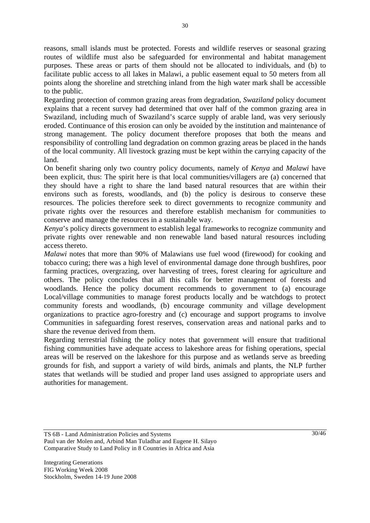reasons, small islands must be protected. Forests and wildlife reserves or seasonal grazing routes of wildlife must also be safeguarded for environmental and habitat management purposes. These areas or parts of them should not be allocated to individuals, and (b) to facilitate public access to all lakes in Malawi, a public easement equal to 50 meters from all points along the shoreline and stretching inland from the high water mark shall be accessible to the public.

Regarding protection of common grazing areas from degradation, *Swaziland* policy document explains that a recent survey had determined that over half of the common grazing area in Swaziland, including much of Swaziland's scarce supply of arable land, was very seriously eroded. Continuance of this erosion can only be avoided by the institution and maintenance of strong management. The policy document therefore proposes that both the means and responsibility of controlling land degradation on common grazing areas be placed in the hands of the local community. All livestock grazing must be kept within the carrying capacity of the land.

On benefit sharing only two country policy documents, namely of *Kenya* and *Malawi* have been explicit, thus: The spirit here is that local communities/villagers are (a) concerned that they should have a right to share the land based natural resources that are within their environs such as forests, woodlands, and (b) the policy is desirous to conserve these resources. The policies therefore seek to direct governments to recognize community and private rights over the resources and therefore establish mechanism for communities to conserve and manage the resources in a sustainable way.

*Kenya*'s policy directs government to establish legal frameworks to recognize community and private rights over renewable and non renewable land based natural resources including access thereto.

*Malawi* notes that more than 90% of Malawians use fuel wood (firewood) for cooking and tobacco curing; there was a high level of environmental damage done through bushfires, poor farming practices, overgrazing, over harvesting of trees, forest clearing for agriculture and others. The policy concludes that all this calls for better management of forests and woodlands. Hence the policy document recommends to government to (a) encourage Local/village communities to manage forest products locally and be watchdogs to protect community forests and woodlands, (b) encourage community and village development organizations to practice agro-forestry and (c) encourage and support programs to involve Communities in safeguarding forest reserves, conservation areas and national parks and to share the revenue derived from them.

Regarding terrestrial fishing the policy notes that government will ensure that traditional fishing communities have adequate access to lakeshore areas for fishing operations, special areas will be reserved on the lakeshore for this purpose and as wetlands serve as breeding grounds for fish, and support a variety of wild birds, animals and plants, the NLP further states that wetlands will be studied and proper land uses assigned to appropriate users and authorities for management.

TS 6B - Land Administration Policies and Systems Paul van der Molen and, Arbind Man Tuladhar and Eugene H. Silayo Comparative Study to Land Policy in 8 Countries in Africa and Asia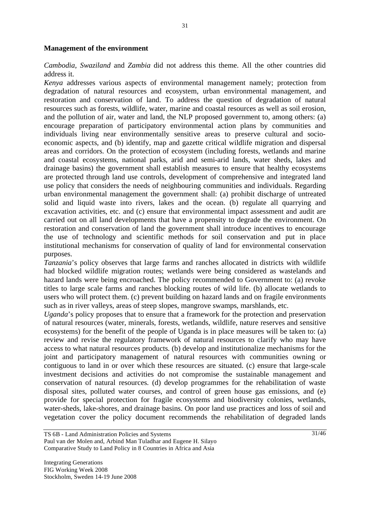#### **Management of the environment**

*Cambodia*, *Swaziland* and *Zambia* did not address this theme. All the other countries did address it.

*Kenya* addresses various aspects of environmental management namely; protection from degradation of natural resources and ecosystem, urban environmental management, and restoration and conservation of land. To address the question of degradation of natural resources such as forests, wildlife, water, marine and coastal resources as well as soil erosion, and the pollution of air, water and land, the NLP proposed government to, among others: (a) encourage preparation of participatory environmental action plans by communities and individuals living near environmentally sensitive areas to preserve cultural and socioeconomic aspects, and (b) identify, map and gazette critical wildlife migration and dispersal areas and corridors. On the protection of ecosystem (including forests, wetlands and marine and coastal ecosystems, national parks, arid and semi-arid lands, water sheds, lakes and drainage basins) the government shall establish measures to ensure that healthy ecosystems are protected through land use controls, development of comprehensive and integrated land use policy that considers the needs of neighbouring communities and individuals. Regarding urban environmental management the government shall: (a) prohibit discharge of untreated solid and liquid waste into rivers, lakes and the ocean. (b) regulate all quarrying and excavation activities, etc. and (c) ensure that environmental impact assessment and audit are carried out on all land developments that have a propensity to degrade the environment. On restoration and conservation of land the government shall introduce incentives to encourage the use of technology and scientific methods for soil conservation and put in place institutional mechanisms for conservation of quality of land for environmental conservation purposes.

*Tanzania*'s policy observes that large farms and ranches allocated in districts with wildlife had blocked wildlife migration routes; wetlands were being considered as wastelands and hazard lands were being encroached. The policy recommended to Government to: (a) revoke titles to large scale farms and ranches blocking routes of wild life. (b) allocate wetlands to users who will protect them. (c) prevent building on hazard lands and on fragile environments such as in river valleys, areas of steep slopes, mangrove swamps, marshlands, etc.

*Uganda*'s policy proposes that to ensure that a framework for the protection and preservation of natural resources (water, minerals, forests, wetlands, wildlife, nature reserves and sensitive ecosystems) for the benefit of the people of Uganda is in place measures will be taken to: (a) review and revise the regulatory framework of natural resources to clarify who may have access to what natural resources products. (b) develop and institutionalize mechanisms for the joint and participatory management of natural resources with communities owning or contiguous to land in or over which these resources are situated. (c) ensure that large-scale investment decisions and activities do not compromise the sustainable management and conservation of natural resources. (d) develop programmes for the rehabilitation of waste disposal sites, polluted water courses, and control of green house gas emissions, and (e) provide for special protection for fragile ecosystems and biodiversity colonies, wetlands, water-sheds, lake-shores, and drainage basins. On poor land use practices and loss of soil and vegetation cover the policy document recommends the rehabilitation of degraded lands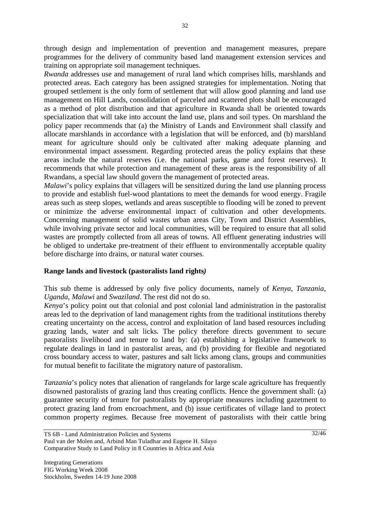through design and implementation of prevention and management measures, prepare programmes for the delivery of community based land management extension services and training on appropriate soil management techniques.

*Rwanda* addresses use and management of rural land which comprises hills, marshlands and protected areas. Each category has been assigned strategies for implementation. Noting that grouped settlement is the only form of settlement that will allow good planning and land use management on Hill Lands, consolidation of parceled and scattered plots shall be encouraged as a method of plot distribution and that agriculture in Rwanda shall be oriented towards specialization that will take into account the land use, plans and soil types. On marshland the policy paper recommends that (a) the Ministry of Lands and Environment shall classify and allocate marshlands in accordance with a legislation that will be enforced, and (b) marshland meant for agriculture should only be cultivated after making adequate planning and environmental impact assessment. Regarding protected areas the policy explains that these areas include the natural reserves (i.e. the national parks, game and forest reserves). It recommends that while protection and management of these areas is the responsibility of all Rwandans, a special law should govern the management of protected areas.

*Malawi*'s policy explains that villagers will be sensitized during the land use planning process to provide and establish fuel-wood plantations to meet the demands for wood energy. Fragile areas such as steep slopes, wetlands and areas susceptible to flooding will be zoned to prevent or minimize the adverse environmental impact of cultivation and other developments. Concerning management of solid wastes urban areas City, Town and District Assemblies, while involving private sector and local communities, will be required to ensure that all solid wastes are promptly collected from all areas of towns. All effluent generating industries will be obliged to undertake pre-treatment of their effluent to environmentally acceptable quality before discharge into drains, or natural water courses.

#### **Range lands and livestock (pastoralists land rights***)*

This sub theme is addressed by only five policy documents, namely of *Kenya*, *Tanzania*, *Uganda*, *Malawi* and *Swaziland*. The rest did not do so.

*Kenya*'s policy point out that colonial and post colonial land administration in the pastoralist areas led to the deprivation of land management rights from the traditional institutions thereby creating uncertainty on the access, control and exploitation of land based resources including grazing lands, water and salt licks. The policy therefore directs government to secure pastoralists livelihood and tenure to land by: (a) establishing a legislative framework to regulate dealings in land in pastoralist areas, and (b) providing for flexible and negotiated cross boundary access to water, pastures and salt licks among clans, groups and communities for mutual benefit to facilitate the migratory nature of pastoralism.

*Tanzania*'s policy notes that alienation of rangelands for large scale agriculture has frequently disowned pastoralists of grazing land thus creating conflicts. Hence the government shall: (a) guarantee security of tenure for pastoralists by appropriate measures including gazetment to protect grazing land from encroachment, and (b) issue certificates of village land to protect common property regimes. Because free movement of pastoralists with their cattle bring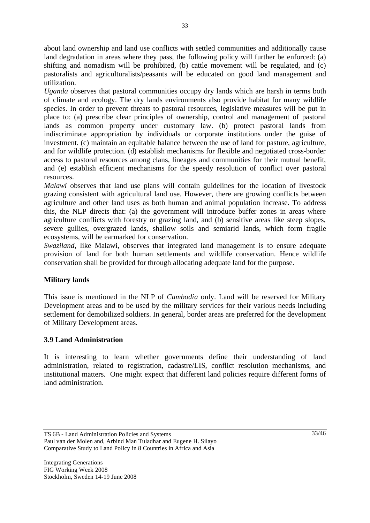about land ownership and land use conflicts with settled communities and additionally cause land degradation in areas where they pass, the following policy will further be enforced: (a) shifting and nomadism will be prohibited, (b) cattle movement will be regulated, and (c) pastoralists and agriculturalists/peasants will be educated on good land management and utilization.

*Uganda* observes that pastoral communities occupy dry lands which are harsh in terms both of climate and ecology. The dry lands environments also provide habitat for many wildlife species. In order to prevent threats to pastoral resources, legislative measures will be put in place to: (a) prescribe clear principles of ownership, control and management of pastoral lands as common property under customary law. (b) protect pastoral lands from indiscriminate appropriation by individuals or corporate institutions under the guise of investment. (c) maintain an equitable balance between the use of land for pasture, agriculture, and for wildlife protection. (d) establish mechanisms for flexible and negotiated cross-border access to pastoral resources among clans, lineages and communities for their mutual benefit, and (e) establish efficient mechanisms for the speedy resolution of conflict over pastoral resources.

*Malawi* observes that land use plans will contain guidelines for the location of livestock grazing consistent with agricultural land use. However, there are growing conflicts between agriculture and other land uses as both human and animal population increase. To address this, the NLP directs that: (a) the government will introduce buffer zones in areas where agriculture conflicts with forestry or grazing land, and (b) sensitive areas like steep slopes, severe gullies, overgrazed lands, shallow soils and semiarid lands, which form fragile ecosystems, will be earmarked for conservation.

*Swaziland*, like Malawi, observes that integrated land management is to ensure adequate provision of land for both human settlements and wildlife conservation. Hence wildlife conservation shall be provided for through allocating adequate land for the purpose.

## **Military lands**

This issue is mentioned in the NLP of *Cambodia* only. Land will be reserved for Military Development areas and to be used by the military services for their various needs including settlement for demobilized soldiers. In general, border areas are preferred for the development of Military Development areas.

## **3.9 Land Administration**

It is interesting to learn whether governments define their understanding of land administration, related to registration, cadastre/LIS, conflict resolution mechanisms, and institutional matters. One might expect that different land policies require different forms of land administration.

TS 6B - Land Administration Policies and Systems Paul van der Molen and, Arbind Man Tuladhar and Eugene H. Silayo Comparative Study to Land Policy in 8 Countries in Africa and Asia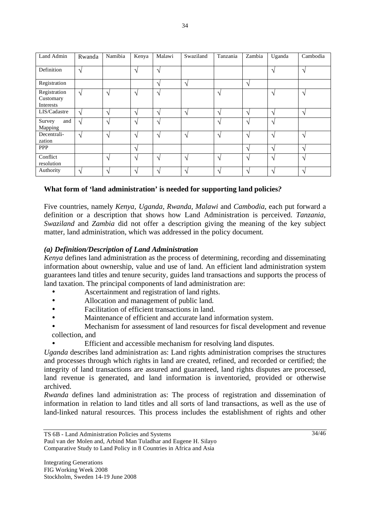| Land Admin                             | Rwanda     | Namibia           | Kenya             | Malawi            | Swaziland       | Tanzania      | Zambia        | Uganda        | Cambodia      |
|----------------------------------------|------------|-------------------|-------------------|-------------------|-----------------|---------------|---------------|---------------|---------------|
| Definition                             | $\sqrt{ }$ |                   | N                 | $\mathbf{\hat{}}$ |                 |               |               | $\mathcal{L}$ | $\mathcal{N}$ |
| Registration                           |            |                   |                   | $\mathbf{\hat{}}$ | $\mathcal{L}$   |               | $\mathcal{L}$ |               |               |
| Registration<br>Customary<br>Interests | $\sqrt{ }$ | $\mathcal{L}$     | $\mathbf{\hat{}}$ | $\mathbf{\hat{}}$ |                 | ٦             |               | $\Delta$      | $\mathcal{N}$ |
| LIS/Cadastre                           | $\sqrt{ }$ | $\mathcal{L}$     | $\mathcal{L}$     | $\Delta$          | $\mathcal{L}$   | $\mathcal{L}$ | $\mathcal{L}$ | $\mathcal{L}$ | $\gamma$      |
| Survey<br>and<br>Mapping               | $\sqrt{ }$ | $\mathcal{L}$     | N                 | $\lambda$         |                 | ٦             | $\mathcal{A}$ | $\gamma$      |               |
| Decentrali-<br>zation                  | $\sqrt{ }$ | $\Delta$          | N                 | $\Delta$          | $\Delta$        | $\mathcal{L}$ | $\mathcal{N}$ | $\mathcal{N}$ | $\mathcal{N}$ |
| <b>PPP</b>                             |            |                   | N                 |                   |                 |               | $\mathcal{L}$ | $\gamma$      | $\mathcal{N}$ |
| Conflict<br>resolution                 |            | $\mathcal{N}$     | N                 | $\mathbf{\hat{}}$ | $\mathcal{N}$   | $\mathcal{L}$ | $\sqrt{ }$    | $\mathcal{L}$ | $\sqrt{ }$    |
| Authority                              | $\gamma$   | $\mathbf \Lambda$ |                   |                   | $\triangleleft$ | ٦             | $\Delta$      |               | $\mathcal{N}$ |

### **What form of 'land administration' is needed for supporting land policies***?*

Five countries, namely *Kenya, Uganda, Rwanda, Malawi* and *Cambodia*, each put forward a definition or a description that shows how Land Administration is perceived. *Tanzania*, *Swaziland* and *Zambia* did not offer a description giving the meaning of the key subject matter, land administration, which was addressed in the policy document.

#### *(a) Definition/Description of Land Administration*

*Kenya* defines land administration as the process of determining, recording and disseminating information about ownership, value and use of land. An efficient land administration system guarantees land titles and tenure security, guides land transactions and supports the process of land taxation. The principal components of land administration are:

- Ascertainment and registration of land rights.
- Allocation and management of public land.
- Facilitation of efficient transactions in land.
- Maintenance of efficient and accurate land information system.
- Mechanism for assessment of land resources for fiscal development and revenue collection, and
	- Efficient and accessible mechanism for resolving land disputes.

*Uganda* describes land administration as: Land rights administration comprises the structures and processes through which rights in land are created, refined, and recorded or certified; the integrity of land transactions are assured and guaranteed, land rights disputes are processed, land revenue is generated, and land information is inventoried, provided or otherwise archived.

*Rwanda* defines land administration as: The process of registration and dissemination of information in relation to land titles and all sorts of land transactions, as well as the use of land-linked natural resources. This process includes the establishment of rights and other

Paul van der Molen and, Arbind Man Tuladhar and Eugene H. Silayo Comparative Study to Land Policy in 8 Countries in Africa and Asia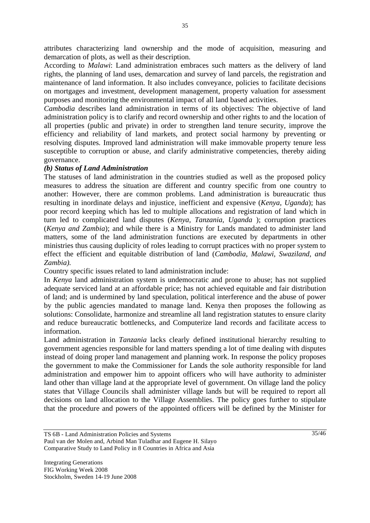attributes characterizing land ownership and the mode of acquisition, measuring and demarcation of plots, as well as their description.

According to *Malawi*: Land administration embraces such matters as the delivery of land rights, the planning of land uses, demarcation and survey of land parcels, the registration and maintenance of land information. It also includes conveyance, policies to facilitate decisions on mortgages and investment, development management, property valuation for assessment purposes and monitoring the environmental impact of all land based activities.

*Cambodia* describes land administration in terms of its objectives: The objective of land administration policy is to clarify and record ownership and other rights to and the location of all properties (public and private) in order to strengthen land tenure security, improve the efficiency and reliability of land markets, and protect social harmony by preventing or resolving disputes. Improved land administration will make immovable property tenure less susceptible to corruption or abuse, and clarify administrative competencies, thereby aiding governance.

#### *(b) Status of Land Administration*

The statuses of land administration in the countries studied as well as the proposed policy measures to address the situation are different and country specific from one country to another: However, there are common problems. Land administration is bureaucratic thus resulting in inordinate delays and injustice, inefficient and expensive (*Kenya, Uganda*); has poor record keeping which has led to multiple allocations and registration of land which in turn led to complicated land disputes (*Kenya, Tanzania, Uganda* ); corruption practices (*Kenya and Zambia*); and while there is a Ministry for Lands mandated to administer land matters, some of the land administration functions are executed by departments in other ministries thus causing duplicity of roles leading to corrupt practices with no proper system to effect the efficient and equitable distribution of land (*Cambodia, Malawi, Swaziland, and Zambia).* 

Country specific issues related to land administration include:

In *Kenya* land administration system is undemocratic and prone to abuse; has not supplied adequate serviced land at an affordable price; has not achieved equitable and fair distribution of land; and is undermined by land speculation, political interference and the abuse of power by the public agencies mandated to manage land. Kenya then proposes the following as solutions: Consolidate, harmonize and streamline all land registration statutes to ensure clarity and reduce bureaucratic bottlenecks, and Computerize land records and facilitate access to information.

Land administration in *Tanzania* lacks clearly defined institutional hierarchy resulting to government agencies responsible for land matters spending a lot of time dealing with disputes instead of doing proper land management and planning work. In response the policy proposes the government to make the Commissioner for Lands the sole authority responsible for land administration and empower him to appoint officers who will have authority to administer land other than village land at the appropriate level of government. On village land the policy states that Village Councils shall administer village lands but will be required to report all decisions on land allocation to the Village Assemblies. The policy goes further to stipulate that the procedure and powers of the appointed officers will be defined by the Minister for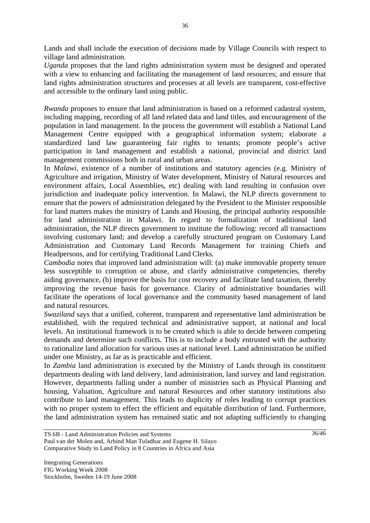Lands and shall include the execution of decisions made by Village Councils with respect to village land administration.

*Uganda* proposes that the land rights administration system must be designed and operated with a view to enhancing and facilitating the management of land resources; and ensure that land rights administration structures and processes at all levels are transparent, cost-effective and accessible to the ordinary land using public.

*Rwanda* proposes to ensure that land administration is based on a reformed cadastral system, including mapping, recording of all land related data and land titles, and encouragement of the population in land management. In the process the government will establish a National Land Management Centre equipped with a geographical information system; elaborate a standardized land law guaranteeing fair rights to tenants; promote people's active participation in land management and establish a national, provincial and district land management commissions both in rural and urban areas.

In *Malawi*, existence of a number of institutions and statutory agencies (e.g. Ministry of Agriculture and irrigation, Ministry of Water development, Ministry of Natural resources and environment affairs, Local Assemblies, etc) dealing with land resulting in confusion over jurisdiction and inadequate policy intervention. In Malawi, the NLP directs government to ensure that the powers of administration delegated by the President to the Minister responsible for land matters makes the ministry of Lands and Housing, the principal authority responsible for land administration in Malawi. In regard to formalization of traditional land administration, the NLP directs government to institute the following: record all transactions involving customary land; and develop a carefully structured program on Customary Land Administration and Customary Land Records Management for training Chiefs and Headpersons, and for certifying Traditional Land Clerks.

*Cambodia* notes that improved land administration will: (a) make immovable property tenure less susceptible to corruption or abuse, and clarify administrative competencies, thereby aiding governance, (b) improve the basis for cost recovery and facilitate land taxation, thereby improving the revenue basis for governance. Clarity of administrative boundaries will facilitate the operations of local governance and the community based management of land and natural resources.

*Swaziland* says that a unified, coherent, transparent and representative land administration be established, with the required technical and administrative support, at national and local levels. An institutional framework is to be created which is able to decide between competing demands and determine such conflicts. This is to include a body entrusted with the authority to rationalize land allocation for various uses at national level. Land administration be unified under one Ministry, as far as is practicable and efficient.

In *Zambia* land administration is executed by the Ministry of Lands through its constituent departments dealing with land delivery, land administration, land survey and land registration. However, departments falling under a number of ministries such as Physical Planning and housing, Valuation, Agriculture and natural Resources and other statutory institutions also contribute to land management. This leads to duplicity of roles leading to corrupt practices with no proper system to effect the efficient and equitable distribution of land. Furthermore, the land administration system has remained static and not adapting sufficiently to changing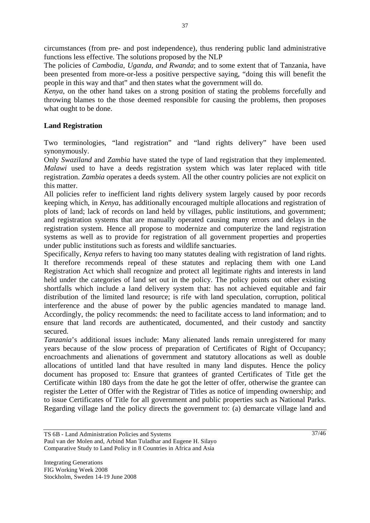circumstances (from pre- and post independence), thus rendering public land administrative functions less effective. The solutions proposed by the NLP

The policies of *Cambodia, Uganda, and Rwanda*; and to some extent that of Tanzania, have been presented from more-or-less a positive perspective saying, "doing this will benefit the people in this way and that" and then states what the government will do.

*Kenya*, on the other hand takes on a strong position of stating the problems forcefully and throwing blames to the those deemed responsible for causing the problems, then proposes what ought to be done.

#### **Land Registration**

Two terminologies, "land registration" and "land rights delivery" have been used synonymously.

Only *Swaziland* and *Zambia* have stated the type of land registration that they implemented. *Malawi* used to have a deeds registration system which was later replaced with title registration. *Zambia* operates a deeds system. All the other country policies are not explicit on this matter.

All policies refer to inefficient land rights delivery system largely caused by poor records keeping which, in *Kenya*, has additionally encouraged multiple allocations and registration of plots of land; lack of records on land held by villages, public institutions, and government; and registration systems that are manually operated causing many errors and delays in the registration system. Hence all propose to modernize and computerize the land registration systems as well as to provide for registration of all government properties and properties under public institutions such as forests and wildlife sanctuaries.

Specifically, *Kenya* refers to having too many statutes dealing with registration of land rights. It therefore recommends repeal of these statutes and replacing them with one Land Registration Act which shall recognize and protect all legitimate rights and interests in land held under the categories of land set out in the policy. The policy points out other existing shortfalls which include a land delivery system that: has not achieved equitable and fair distribution of the limited land resource; is rife with land speculation, corruption, political interference and the abuse of power by the public agencies mandated to manage land. Accordingly, the policy recommends: the need to facilitate access to land information; and to ensure that land records are authenticated, documented, and their custody and sanctity secured.

*Tanzania*'s additional issues include: Many alienated lands remain unregistered for many years because of the slow process of preparation of Certificates of Right of Occupancy; encroachments and alienations of government and statutory allocations as well as double allocations of untitled land that have resulted in many land disputes. Hence the policy document has proposed to: Ensure that grantees of granted Certificates of Title get the Certificate within 180 days from the date he got the letter of offer, otherwise the grantee can register the Letter of Offer with the Registrar of Titles as notice of impending ownership; and to issue Certificates of Title for all government and public properties such as National Parks. Regarding village land the policy directs the government to: (a) demarcate village land and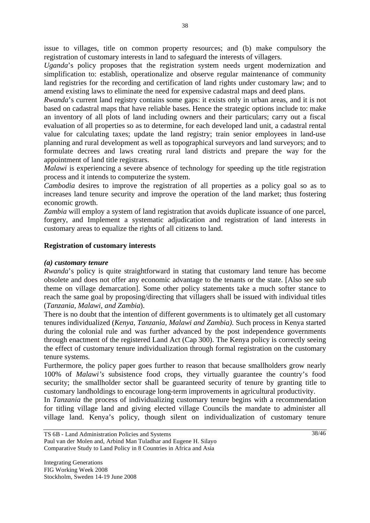issue to villages, title on common property resources; and (b) make compulsory the registration of customary interests in land to safeguard the interests of villagers.

*Uganda*'s policy proposes that the registration system needs urgent modernization and simplification to: establish, operationalize and observe regular maintenance of community land registries for the recording and certification of land rights under customary law; and to amend existing laws to eliminate the need for expensive cadastral maps and deed plans.

*Rwanda*'s current land registry contains some gaps: it exists only in urban areas, and it is not based on cadastral maps that have reliable bases. Hence the strategic options include to: make an inventory of all plots of land including owners and their particulars; carry out a fiscal evaluation of all properties so as to determine, for each developed land unit, a cadastral rental value for calculating taxes; update the land registry; train senior employees in land-use planning and rural development as well as topographical surveyors and land surveyors; and to formulate decrees and laws creating rural land districts and prepare the way for the appointment of land title registrars.

*Malawi* is experiencing a severe absence of technology for speeding up the title registration process and it intends to computerize the system.

*Cambodia* desires to improve the registration of all properties as a policy goal so as to increases land tenure security and improve the operation of the land market; thus fostering economic growth.

*Zambia* will employ a system of land registration that avoids duplicate issuance of one parcel, forgery, and Implement a systematic adjudication and registration of land interests in customary areas to equalize the rights of all citizens to land.

### **Registration of customary interests**

#### *(a) customary tenure*

*Rwanda*'s policy is quite straightforward in stating that customary land tenure has become obsolete and does not offer any economic advantage to the tenants or the state. [Also see sub theme on village demarcation]. Some other policy statements take a much softer stance to reach the same goal by proposing/directing that villagers shall be issued with individual titles (*Tanzania, Malawi, and Zambia*).

There is no doubt that the intention of different governments is to ultimately get all customary tenures individualized (*Kenya, Tanzania, Malawi and Zambia).* Such process in Kenya started during the colonial rule and was further advanced by the post independence governments through enactment of the registered Land Act (Cap 300). The Kenya policy is correctly seeing the effect of customary tenure individualization through formal registration on the customary tenure systems.

Furthermore, the policy paper goes further to reason that because smallholders grow nearly 100% of *Malawi's* subsistence food crops, they virtually guarantee the country's food security; the smallholder sector shall be guaranteed security of tenure by granting title to customary landholdings to encourage long-term improvements in agricultural productivity.

In *Tanzania* the process of individualizing customary tenure begins with a recommendation for titling village land and giving elected village Councils the mandate to administer all village land. Kenya's policy, though silent on individualization of customary tenure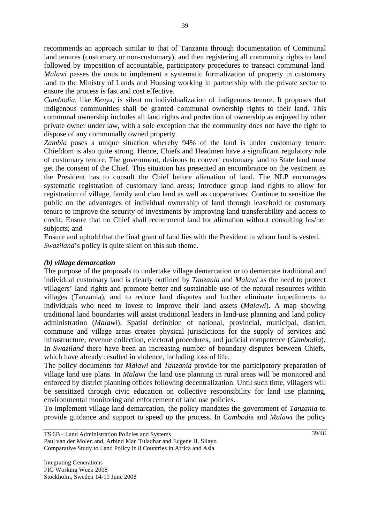recommends an approach similar to that of Tanzania through documentation of Communal land tenures (customary or non-customary), and then registering all community rights to land followed by imposition of accountable, participatory procedures to transact communal land. *Malawi* passes the onus to implement a systematic formalization of property in customary land to the Ministry of Lands and Housing working in partnership with the private sector to ensure the process is fast and cost effective.

*Cambodia*, like *Keny*a, is silent on individualization of indigenous tenure. It proposes that indigenous communities shall be granted communal ownership rights to their land. This communal ownership includes all land rights and protection of ownership as enjoyed by other private owner under law, with a sole exception that the community does not have the right to dispose of any communally owned property.

*Zambia* poses a unique situation whereby 94% of the land is under customary tenure. Chiefdom is also quite strong. Hence, Chiefs and Headmen have a significant regulatory role of customary tenure. The government, desirous to convert customary land to State land must get the consent of the Chief. This situation has presented an encumbrance on the vestment as the President has to consult the Chief before alienation of land. The NLP encourages systematic registration of customary land areas; Introduce group land rights to allow for registration of village, family and clan land as well as cooperatives; Continue to sensitize the public on the advantages of individual ownership of land through leasehold or customary tenure to improve the security of investments by improving land transferability and access to credit; Ensure that no Chief shall recommend land for alienation without consulting his/her subjects; and

Ensure and uphold that the final grant of land lies with the President in whom land is vested. *Swaziland*'s policy is quite silent on this sub theme.

#### *(b) village demarcation*

The purpose of the proposals to undertake village demarcation or to demarcate traditional and individual customary land is clearly outlined by *Tanzania* and *Malawi* as the need to protect villagers' land rights and promote better and sustainable use of the natural resources within villages (Tanzania), and to reduce land disputes and further eliminate impediments to individuals who need to invest to improve their land assets (*Malawi*). A map showing traditional land boundaries will assist traditional leaders in land-use planning and land policy administration (*Malawi*). Spatial definition of national, provincial, municipal, district, commune and village areas creates physical jurisdictions for the supply of services and infrastructure, revenue collection, electoral procedures, and judicial competence (*Cambodia*). In *Swaziland* there have been an increasing number of boundary disputes between Chiefs, which have already resulted in violence, including loss of life.

The policy documents for *Malawi* and *Tanzania* provide for the participatory preparation of village land use plans. In *Malawi* the land use planning in rural areas will be monitored and enforced by district planning offices following decentralization. Until such time, villagers will be sensitized through civic education on collective responsibility for land use planning, environmental monitoring and enforcement of land use policies.

To implement village land demarcation, the policy mandates the government of *Tanzania* to provide guidance and support to speed up the process. In *Cambodi*a and *Malawi* the policy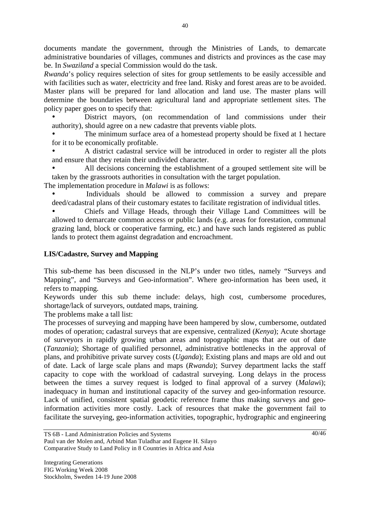documents mandate the government, through the Ministries of Lands, to demarcate administrative boundaries of villages, communes and districts and provinces as the case may be. In *Swaziland* a special Commission would do the task.

*Rwanda*'s policy requires selection of sites for group settlements to be easily accessible and with facilities such as water, electricity and free land. Risky and forest areas are to be avoided. Master plans will be prepared for land allocation and land use. The master plans will determine the boundaries between agricultural land and appropriate settlement sites. The policy paper goes on to specify that:

District mayors, (on recommendation of land commissions under their authority), should agree on a new cadastre that prevents viable plots.

The minimum surface area of a homestead property should be fixed at 1 hectare for it to be economically profitable.

• A district cadastral service will be introduced in order to register all the plots and ensure that they retain their undivided character.

• All decisions concerning the establishment of a grouped settlement site will be taken by the grassroots authorities in consultation with the target population.

The implementation procedure in *Malawi* is as follows:

Individuals should be allowed to commission a survey and prepare deed/cadastral plans of their customary estates to facilitate registration of individual titles.

• Chiefs and Village Heads, through their Village Land Committees will be allowed to demarcate common access or public lands (e.g. areas for forestation, communal grazing land, block or cooperative farming, etc.) and have such lands registered as public lands to protect them against degradation and encroachment.

### **LIS/Cadastre, Survey and Mapping**

This sub-theme has been discussed in the NLP's under two titles, namely "Surveys and Mapping", and "Surveys and Geo-information". Where geo-information has been used, it refers to mapping.

Keywords under this sub theme include: delays, high cost, cumbersome procedures, shortage/lack of surveyors, outdated maps, training.

The problems make a tall list:

The processes of surveying and mapping have been hampered by slow, cumbersome, outdated modes of operation; cadastral surveys that are expensive, centralized (*Kenya*); Acute shortage of surveyors in rapidly growing urban areas and topographic maps that are out of date (*Tanzania*); Shortage of qualified personnel, administrative bottlenecks in the approval of plans, and prohibitive private survey costs (*Uganda*); Existing plans and maps are old and out of date. Lack of large scale plans and maps (*Rwanda*); Survey department lacks the staff capacity to cope with the workload of cadastral surveying. Long delays in the process between the times a survey request is lodged to final approval of a survey (*Malaw*i); inadequacy in human and institutional capacity of the survey and geo-information resource. Lack of unified, consistent spatial geodetic reference frame thus making surveys and geoinformation activities more costly. Lack of resources that make the government fail to facilitate the surveying, geo-information activities, topographic, hydrographic and engineering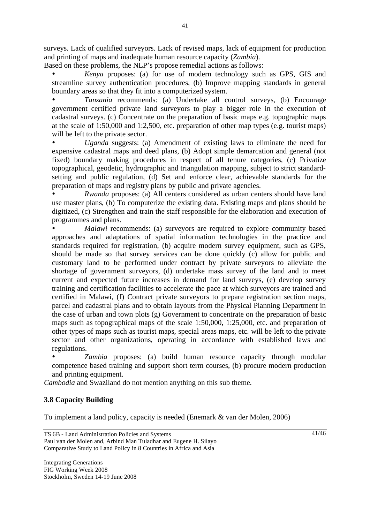surveys. Lack of qualified surveyors. Lack of revised maps, lack of equipment for production and printing of maps and inadequate human resource capacity (*Zambia*).

Based on these problems, the NLP's propose remedial actions as follows:

• *Kenya* proposes: (a) for use of modern technology such as GPS, GIS and streamline survey authentication procedures, (b) Improve mapping standards in general boundary areas so that they fit into a computerized system.

• *Tanzania* recommends: (a) Undertake all control surveys, (b) Encourage government certified private land surveyors to play a bigger role in the execution of cadastral surveys. (c) Concentrate on the preparation of basic maps e.g. topographic maps at the scale of 1:50,000 and 1:2,500, etc. preparation of other map types (e.g. tourist maps) will be left to the private sector.

• *Uganda* suggests: (a) Amendment of existing laws to eliminate the need for expensive cadastral maps and deed plans, (b) Adopt simple demarcation and general (not fixed) boundary making procedures in respect of all tenure categories, (c) Privatize topographical, geodetic, hydrographic and triangulation mapping, subject to strict standardsetting and public regulation, (d) Set and enforce clear, achievable standards for the preparation of maps and registry plans by public and private agencies.

• *Rwanda* proposes: (a) All centers considered as urban centers should have land use master plans, (b) To computerize the existing data. Existing maps and plans should be digitized, (c) Strengthen and train the staff responsible for the elaboration and execution of programmes and plans.

*Malawi* recommends: (a) surveyors are required to explore community based approaches and adaptations of spatial information technologies in the practice and standards required for registration, (b) acquire modern survey equipment, such as GPS, should be made so that survey services can be done quickly (c) allow for public and customary land to be performed under contract by private surveyors to alleviate the shortage of government surveyors, (d) undertake mass survey of the land and to meet current and expected future increases in demand for land surveys, (e) develop survey training and certification facilities to accelerate the pace at which surveyors are trained and certified in Malawi, (f) Contract private surveyors to prepare registration section maps, parcel and cadastral plans and to obtain layouts from the Physical Planning Department in the case of urban and town plots (g) Government to concentrate on the preparation of basic maps such as topographical maps of the scale 1:50,000, 1:25,000, etc. and preparation of other types of maps such as tourist maps, special areas maps, etc. will be left to the private sector and other organizations, operating in accordance with established laws and regulations.

• *Zambia* proposes: (a) build human resource capacity through modular competence based training and support short term courses, (b) procure modern production and printing equipment.

*Cambodia* and Swaziland do not mention anything on this sub theme.

# **3.8 Capacity Building**

To implement a land policy, capacity is needed (Enemark & van der Molen, 2006)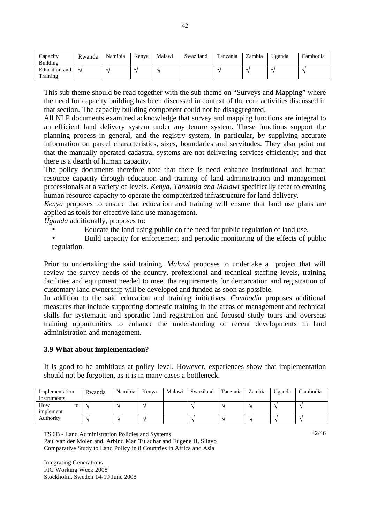| Capacity<br>Building      | Rwanda | Namibia | Kenva | Malawi | Swaziland | Tanzania | Zambia | Uganda | Cambodia |
|---------------------------|--------|---------|-------|--------|-----------|----------|--------|--------|----------|
| Education and<br>Training |        |         |       |        |           |          |        |        |          |

This sub theme should be read together with the sub theme on "Surveys and Mapping" where the need for capacity building has been discussed in context of the core activities discussed in that section. The capacity building component could not be disaggregated.

All NLP documents examined acknowledge that survey and mapping functions are integral to an efficient land delivery system under any tenure system. These functions support the planning process in general, and the registry system, in particular, by supplying accurate information on parcel characteristics, sizes, boundaries and servitudes. They also point out that the manually operated cadastral systems are not delivering services efficiently; and that there is a dearth of human capacity.

The policy documents therefore note that there is need enhance institutional and human resource capacity through education and training of land administration and management professionals at a variety of levels. *Kenya, Tanzania and Malawi* specifically refer to creating human resource capacity to operate the computerized infrastructure for land delivery.

*Kenya* proposes to ensure that education and training will ensure that land use plans are applied as tools for effective land use management.

*Uganda* additionally, proposes to:

- Educate the land using public on the need for public regulation of land use.
- Build capacity for enforcement and periodic monitoring of the effects of public regulation.

Prior to undertaking the said training, *Malawi* proposes to undertake a project that will review the survey needs of the country, professional and technical staffing levels, training facilities and equipment needed to meet the requirements for demarcation and registration of customary land ownership will be developed and funded as soon as possible.

In addition to the said education and training initiatives, *Cambodia* proposes additional measures that include supporting domestic training in the areas of management and technical skills for systematic and sporadic land registration and focused study tours and overseas training opportunities to enhance the understanding of recent developments in land administration and management.

#### **3.9 What about implementation?**

It is good to be ambitious at policy level. However, experiences show that implementation should not be forgotten, as it is in many cases a bottleneck.

| Implementation         | Rwanda | Namibia | Kenya | Malawi | Swaziland | Tanzania | Zambia | Uganda | Cambodia |
|------------------------|--------|---------|-------|--------|-----------|----------|--------|--------|----------|
| Instruments            |        |         |       |        |           |          |        |        |          |
| How<br>to<br>implement |        |         |       |        |           |          |        |        |          |
| Authority              |        |         |       |        |           |          |        |        |          |

TS 6B - Land Administration Policies and Systems

Paul van der Molen and, Arbind Man Tuladhar and Eugene H. Silayo Comparative Study to Land Policy in 8 Countries in Africa and Asia

Integrating Generations FIG Working Week 2008 Stockholm, Sweden 14-19 June 2008 42/46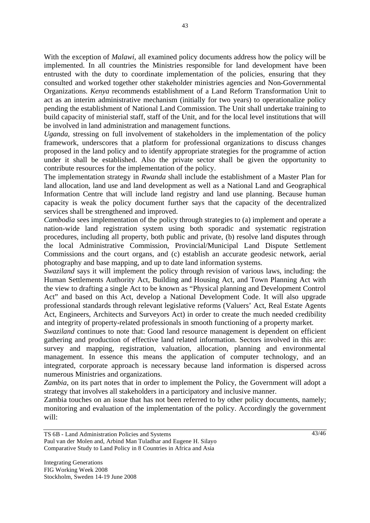With the exception of *Malawi*, all examined policy documents address how the policy will be implemented. In all countries the Ministries responsible for land development have been entrusted with the duty to coordinate implementation of the policies, ensuring that they consulted and worked together other stakeholder ministries agencies and Non-Governmental Organizations. *Kenya* recommends establishment of a Land Reform Transformation Unit to act as an interim administrative mechanism (initially for two years) to operationalize policy pending the establishment of National Land Commission. The Unit shall undertake training to build capacity of ministerial staff, staff of the Unit, and for the local level institutions that will be involved in land administration and management functions.

*Uganda*, stressing on full involvement of stakeholders in the implementation of the policy framework, underscores that a platform for professional organizations to discuss changes proposed in the land policy and to identify appropriate strategies for the programme of action under it shall be established. Also the private sector shall be given the opportunity to contribute resources for the implementation of the policy.

The implementation strategy in *Rwanda* shall include the establishment of a Master Plan for land allocation, land use and land development as well as a National Land and Geographical Information Centre that will include land registry and land use planning. Because human capacity is weak the policy document further says that the capacity of the decentralized services shall be strengthened and improved.

*Cambodia* sees implementation of the policy through strategies to (a) implement and operate a nation-wide land registration system using both sporadic and systematic registration procedures, including all property, both public and private, (b) resolve land disputes through the local Administrative Commission, Provincial/Municipal Land Dispute Settlement Commissions and the court organs, and (c) establish an accurate geodesic network, aerial photography and base mapping, and up to date land information systems.

*Swaziland* says it will implement the policy through revision of various laws, including: the Human Settlements Authority Act, Building and Housing Act, and Town Planning Act with the view to drafting a single Act to be known as "Physical planning and Development Control Act" and based on this Act, develop a National Development Code. It will also upgrade professional standards through relevant legislative reforms (Valuers' Act, Real Estate Agents Act, Engineers, Architects and Surveyors Act) in order to create the much needed credibility and integrity of property-related professionals in smooth functioning of a property market.

*Swaziland* continues to note that: Good land resource management is dependent on efficient gathering and production of effective land related information. Sectors involved in this are: survey and mapping, registration, valuation, allocation, planning and environmental management. In essence this means the application of computer technology, and an integrated, corporate approach is necessary because land information is dispersed across numerous Ministries and organizations.

*Zambia*, on its part notes that in order to implement the Policy, the Government will adopt a strategy that involves all stakeholders in a participatory and inclusive manner.

Zambia touches on an issue that has not been referred to by other policy documents, namely; monitoring and evaluation of the implementation of the policy. Accordingly the government will: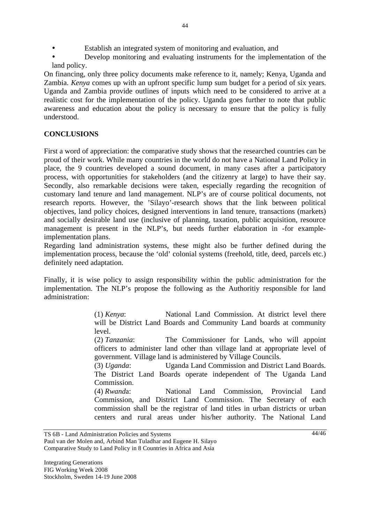- Establish an integrated system of monitoring and evaluation, and
- Develop monitoring and evaluating instruments for the implementation of the land policy.

On financing, only three policy documents make reference to it, namely; Kenya, Uganda and Zambia. *Kenya* comes up with an upfront specific lump sum budget for a period of six years. Uganda and Zambia provide outlines of inputs which need to be considered to arrive at a realistic cost for the implementation of the policy. Uganda goes further to note that public awareness and education about the policy is necessary to ensure that the policy is fully understood.

## **CONCLUSIONS**

First a word of appreciation: the comparative study shows that the researched countries can be proud of their work. While many countries in the world do not have a National Land Policy in place, the 9 countries developed a sound document, in many cases after a participatory process, with opportunities for stakeholders (and the citizenry at large) to have their say. Secondly, also remarkable decisions were taken, especially regarding the recognition of customary land tenure and land management. NLP's are of course political documents, not research reports. However, the 'Silayo'-research shows that the link between political objectives, land policy choices, designed interventions in land tenure, transactions (markets) and socially desirable land use (inclusive of planning, taxation, public acquisition, resource management is present in the NLP's, but needs further elaboration in -for exampleimplementation plans.

Regarding land administration systems, these might also be further defined during the implementation process, because the 'old' colonial systems (freehold, title, deed, parcels etc.) definitely need adaptation.

Finally, it is wise policy to assign responsibility within the public administration for the implementation. The NLP's propose the following as the Authoritiy responsible for land administration:

> (1) *Kenya*: National Land Commission. At district level there will be District Land Boards and Community Land boards at community level.

> (2) *Tanzania*: The Commissioner for Lands, who will appoint officers to administer land other than village land at appropriate level of government. Village land is administered by Village Councils.

> (3) *Uganda*: Uganda Land Commission and District Land Boards. The District Land Boards operate independent of The Uganda Land Commission.

> (4) *Rwand*a: National Land Commission, Provincial Land Commission, and District Land Commission. The Secretary of each commission shall be the registrar of land titles in urban districts or urban centers and rural areas under his/her authority. The National Land

Paul van der Molen and, Arbind Man Tuladhar and Eugene H. Silayo Comparative Study to Land Policy in 8 Countries in Africa and Asia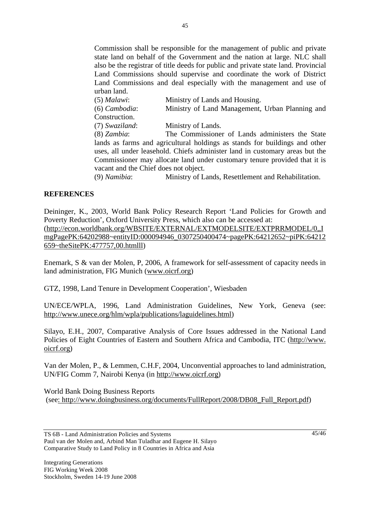Commission shall be responsible for the management of public and private state land on behalf of the Government and the nation at large. NLC shall also be the registrar of title deeds for public and private state land. Provincial Land Commissions should supervise and coordinate the work of District Land Commissions and deal especially with the management and use of urban land.

| $(5)$ <i>Malawi</i> : | Ministry of Lands and Housing.                                                                                                                                                                                                  |
|-----------------------|---------------------------------------------------------------------------------------------------------------------------------------------------------------------------------------------------------------------------------|
| (6) Cambodia:         | Ministry of Land Management, Urban Planning and                                                                                                                                                                                 |
| Construction.         |                                                                                                                                                                                                                                 |
| (7) Swaziland:        | Ministry of Lands.                                                                                                                                                                                                              |
| $(8)$ Zambia:         | The Commissioner of Lands administers the State                                                                                                                                                                                 |
|                       | lands as farms and agricultural holdings as stands for buildings and other                                                                                                                                                      |
|                       | uses, all under leasehold. Chiefs administer land in customary areas but the                                                                                                                                                    |
|                       | Commissioner may allocate land under customary tenure provided that it is                                                                                                                                                       |
|                       | vacant and the Chief does not object.                                                                                                                                                                                           |
|                       | $\mathcal{L}(\Omega)$ $M_{\text{un}}$ ; $l_{\text{in}}$ $l_{\text{in}}$ $l_{\text{in}}$ $l_{\text{out}}$ $l_{\text{out}}$ $l_{\text{out}}$ $l_{\text{out}}$ $l_{\text{out}}$ $l_{\text{out}}$ $l_{\text{out}}$ $l_{\text{out}}$ |

(9) *Namibia*: Ministry of Lands, Resettlement and Rehabilitation.

### **REFERENCES**

Deininger, K., 2003, World Bank Policy Research Report 'Land Policies for Growth and Poverty Reduction', Oxford University Press, which also can be accessed at: (http://econ.worldbank.org/WBSITE/EXTERNAL/EXTMODELSITE/EXTPRRMODEL/0,,I mgPagePK:64202988~entityID:000094946\_0307250400474~pagePK:64212652~piPK:64212 659~theSitePK:477757,00.htmlll)

Enemark, S & van der Molen, P, 2006, A framework for self-assessment of capacity needs in land administration, FIG Munich (www.oicrf.org)

GTZ, 1998, Land Tenure in Development Cooperation', Wiesbaden

UN/ECE/WPLA, 1996, Land Administration Guidelines, New York, Geneva (see: http://www.unece.org/hlm/wpla/publications/laguidelines.html)

Silayo, E.H., 2007, Comparative Analysis of Core Issues addressed in the National Land Policies of Eight Countries of Eastern and Southern Africa and Cambodia, ITC (http://www. oicrf.org)

Van der Molen, P., & Lemmen, C.H.F, 2004, Unconvential approaches to land administration, UN/FIG Comm 7, Nairobi Kenya (in http://www.oicrf.org)

World Bank Doing Business Reports (see: http://www.doingbusiness.org/documents/FullReport/2008/DB08\_Full\_Report.pdf)